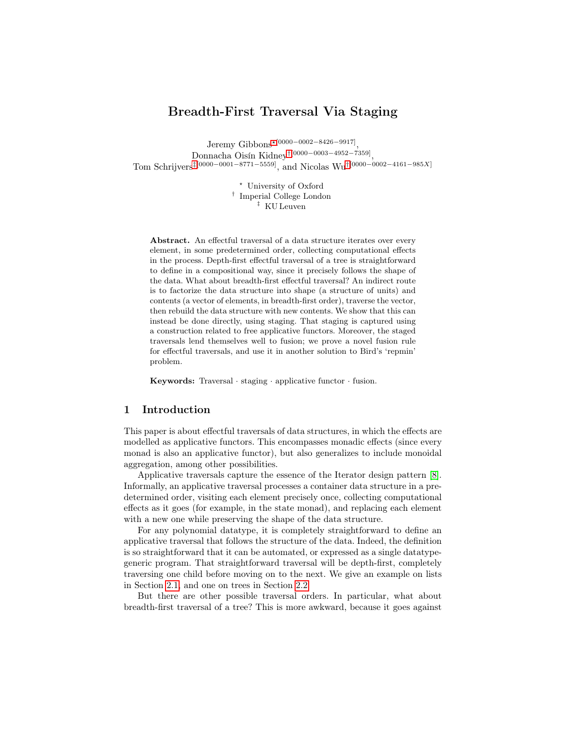# Breadth-First Traversal Via Staging

<span id="page-0-0"></span>Jeremy Gibbons<sup>\*[0000–0002–8426–9917]</sup>, Donnacha Oisín Kidney[†](#page-0-0)[0000−0003−4952−7359] , Tom Schrijvers<sup>[‡](#page-0-0)[0000−0001−8771−5559]</sup>, and Nicolas Wu<sup>[†](#page-0-0)[0000−0002−4161−985X]</sup>

> ? University of Oxford † Imperial College London ‡ KU Leuven

Abstract. An effectful traversal of a data structure iterates over every element, in some predetermined order, collecting computational effects in the process. Depth-first effectful traversal of a tree is straightforward to define in a compositional way, since it precisely follows the shape of the data. What about breadth-first effectful traversal? An indirect route is to factorize the data structure into shape (a structure of units) and contents (a vector of elements, in breadth-first order), traverse the vector, then rebuild the data structure with new contents. We show that this can instead be done directly, using staging. That staging is captured using a construction related to free applicative functors. Moreover, the staged traversals lend themselves well to fusion; we prove a novel fusion rule for effectful traversals, and use it in another solution to Bird's 'repmin' problem.

Keywords: Traversal · staging · applicative functor · fusion.

### 1 Introduction

This paper is about effectful traversals of data structures, in which the effects are modelled as applicative functors. This encompasses monadic effects (since every monad is also an applicative functor), but also generalizes to include monoidal aggregation, among other possibilities.

Applicative traversals capture the essence of the Iterator design pattern [\[8\]](#page-21-0). Informally, an applicative traversal processes a container data structure in a predetermined order, visiting each element precisely once, collecting computational effects as it goes (for example, in the state monad), and replacing each element with a new one while preserving the shape of the data structure.

For any polynomial datatype, it is completely straightforward to define an applicative traversal that follows the structure of the data. Indeed, the definition is so straightforward that it can be automated, or expressed as a single datatypegeneric program. That straightforward traversal will be depth-first, completely traversing one child before moving on to the next. We give an example on lists in Section [2.1,](#page-3-0) and one on trees in Section [2.2.](#page-5-0)

But there are other possible traversal orders. In particular, what about breadth-first traversal of a tree? This is more awkward, because it goes against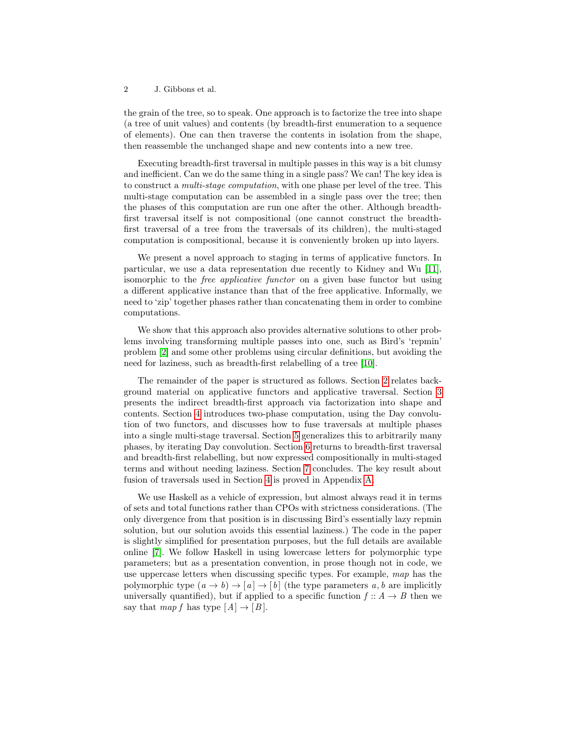the grain of the tree, so to speak. One approach is to factorize the tree into shape (a tree of unit values) and contents (by breadth-first enumeration to a sequence of elements). One can then traverse the contents in isolation from the shape, then reassemble the unchanged shape and new contents into a new tree.

Executing breadth-first traversal in multiple passes in this way is a bit clumsy and inefficient. Can we do the same thing in a single pass? We can! The key idea is to construct a multi-stage computation, with one phase per level of the tree. This multi-stage computation can be assembled in a single pass over the tree; then the phases of this computation are run one after the other. Although breadthfirst traversal itself is not compositional (one cannot construct the breadthfirst traversal of a tree from the traversals of its children), the multi-staged computation is compositional, because it is conveniently broken up into layers.

We present a novel approach to staging in terms of applicative functors. In particular, we use a data representation due recently to Kidney and Wu [\[11\]](#page-22-0), isomorphic to the free applicative functor on a given base functor but using a different applicative instance than that of the free applicative. Informally, we need to 'zip' together phases rather than concatenating them in order to combine computations.

We show that this approach also provides alternative solutions to other problems involving transforming multiple passes into one, such as Bird's 'repmin' problem [\[2\]](#page-21-1) and some other problems using circular definitions, but avoiding the need for laziness, such as breadth-first relabelling of a tree [\[10\]](#page-22-1).

The remainder of the paper is structured as follows. Section [2](#page-2-0) relates background material on applicative functors and applicative traversal. Section [3](#page-5-1) presents the indirect breadth-first approach via factorization into shape and contents. Section [4](#page-8-0) introduces two-phase computation, using the Day convolution of two functors, and discusses how to fuse traversals at multiple phases into a single multi-stage traversal. Section [5](#page-15-0) generalizes this to arbitrarily many phases, by iterating Day convolution. Section [6](#page-19-0) returns to breadth-first traversal and breadth-first relabelling, but now expressed compositionally in multi-staged terms and without needing laziness. Section [7](#page-20-0) concludes. The key result about fusion of traversals used in Section [4](#page-8-0) is proved in Appendix [A.](#page-22-2)

We use Haskell as a vehicle of expression, but almost always read it in terms of sets and total functions rather than CPOs with strictness considerations. (The only divergence from that position is in discussing Bird's essentially lazy repmin solution, but our solution avoids this essential laziness.) The code in the paper is slightly simplified for presentation purposes, but the full details are available online [\[7\]](#page-21-2). We follow Haskell in using lowercase letters for polymorphic type parameters; but as a presentation convention, in prose though not in code, we use uppercase letters when discussing specific types. For example, map has the polymorphic type  $(a \to b) \to [a] \to [b]$  (the type parameters a, b are implicitly universally quantified), but if applied to a specific function  $f : A \rightarrow B$  then we say that map f has type  $[A] \rightarrow [B]$ .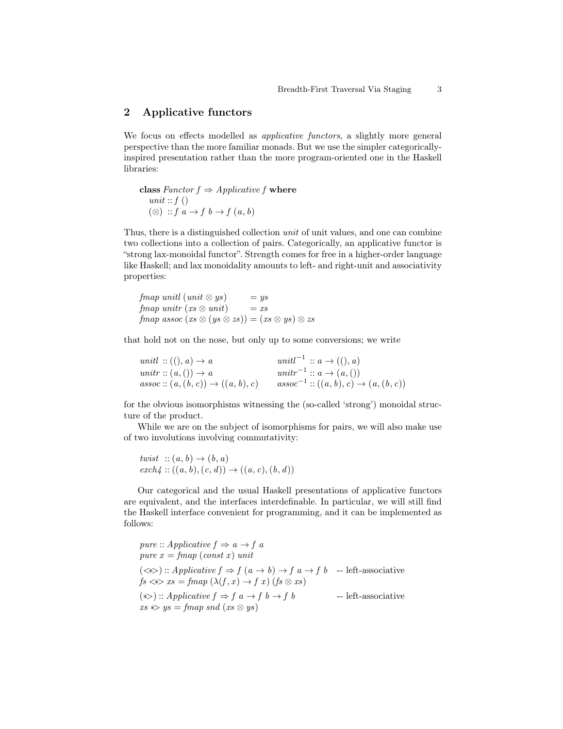### <span id="page-2-0"></span>2 Applicative functors

We focus on effects modelled as *applicative functors*, a slightly more general perspective than the more familiar monads. But we use the simpler categoricallyinspired presentation rather than the more program-oriented one in the Haskell libraries:

class Functor  $f \Rightarrow Application$ unit ::  $f()$  $(\otimes)$  :: f  $a \rightarrow f b \rightarrow f (a, b)$ 

Thus, there is a distinguished collection unit of unit values, and one can combine two collections into a collection of pairs. Categorically, an applicative functor is "strong lax-monoidal functor". Strength comes for free in a higher-order language like Haskell; and lax monoidality amounts to left- and right-unit and associativity properties:

fmap unitl  $(unit \otimes ys)$  = ys fmap unitr  $(xs \otimes unit)$  = xs fmap assoc  $(xs \otimes (ys \otimes zs)) = (xs \otimes ys) \otimes zs$ 

that hold not on the nose, but only up to some conversions; we write

| unitl :: $((\cdot, a) \rightarrow a)$        | $unit^{-1} :: a \rightarrow ((), a)$                |
|----------------------------------------------|-----------------------------------------------------|
| unitr:: $(a, ()$ $\rightarrow a$             | $unitr^{-1} :: a \rightarrow (a, ())$               |
| $assoc: (a, (b, c)) \rightarrow ((a, b), c)$ | $assoc^{-1} :: ((a, b), c) \rightarrow (a, (b, c))$ |

for the obvious isomorphisms witnessing the (so-called 'strong') monoidal structure of the product.

While we are on the subject of isomorphisms for pairs, we will also make use of two involutions involving commutativity:

```
twist :: (a, b) \rightarrow (b, a)exch\{f: ((a, b), (c, d)) \rightarrow ((a, c), (b, d))\}
```
Our categorical and the usual Haskell presentations of applicative functors are equivalent, and the interfaces interdefinable. In particular, we will still find the Haskell interface convenient for programming, and it can be implemented as follows:

```
pure :: Applicative f \Rightarrow a \rightarrow f a
pure x = \text{fmap}(\text{const }x) unit
(\ll\gg):: Applicative f \Rightarrow f(a \to b) \to f(a \to f b) -- left-associative
fs \ll\gg xs = \text{fmap}(\lambda(f, x) \rightarrow f x) \text{ (fs } \otimes xs)(∗>) :: Applicative f \Rightarrow f a → f b → f b -- left-associative
xs \gg ys = \text{fmap} \text{ and } (xs \otimes ys)
```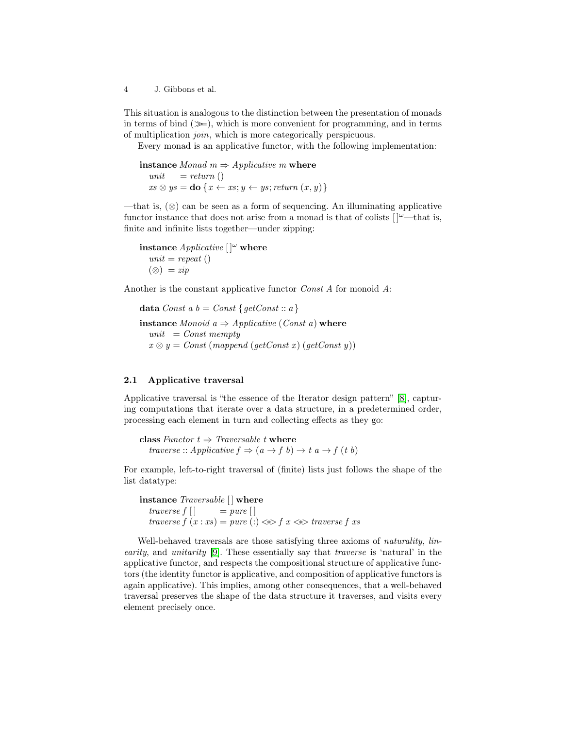This situation is analogous to the distinction between the presentation of monads in terms of bind  $(\gg=)$ , which is more convenient for programming, and in terms of multiplication join, which is more categorically perspicuous.

Every monad is an applicative functor, with the following implementation:

instance Monad  $m \Rightarrow Application$  m where unit  $= return ()$  $xs \otimes ys = do {x \leftarrow xs; y \leftarrow ys; return (x, y)}$ 

—that is, (⊗) can be seen as a form of sequencing. An illuminating applicative functor instance that does not arise from a monad is that of colists  $[$  $]$ <sup> $\omega$ </sup>—that is, finite and infinite lists together—under zipping:

instance  $Applicative \, ||^{\omega}$  where  $unit = repeat()$  $(\otimes) = zip$ 

Another is the constant applicative functor Const A for monoid A:

```
data Const a b = Const \{ getConst :: a \}instance Monoid a \Rightarrow Application(Const\ a) where
  unit = Const mempty
  x \otimes y = Const (mappend (getConst x) (getConst y))
```
### <span id="page-3-0"></span>2.1 Applicative traversal

Applicative traversal is "the essence of the Iterator design pattern" [\[8\]](#page-21-0), capturing computations that iterate over a data structure, in a predetermined order, processing each element in turn and collecting effects as they go:

class Functor  $t \Rightarrow$  Traversable t where traverse :: Applicative  $f \Rightarrow (a \rightarrow f b) \rightarrow t a \rightarrow f (t b)$ 

For example, left-to-right traversal of (finite) lists just follows the shape of the list datatype:

instance Traversable [] where traverse  $f \mid \cdot \cdot \cdot \cdot \mid$ traverse f  $(x : xs) = pure$   $(:) \ll s$  f  $x \ll s$  traverse f xs

Well-behaved traversals are those satisfying three axioms of *naturality*, *lin*earity, and unitarity [\[9\]](#page-21-3). These essentially say that traverse is 'natural' in the applicative functor, and respects the compositional structure of applicative functors (the identity functor is applicative, and composition of applicative functors is again applicative). This implies, among other consequences, that a well-behaved traversal preserves the shape of the data structure it traverses, and visits every element precisely once.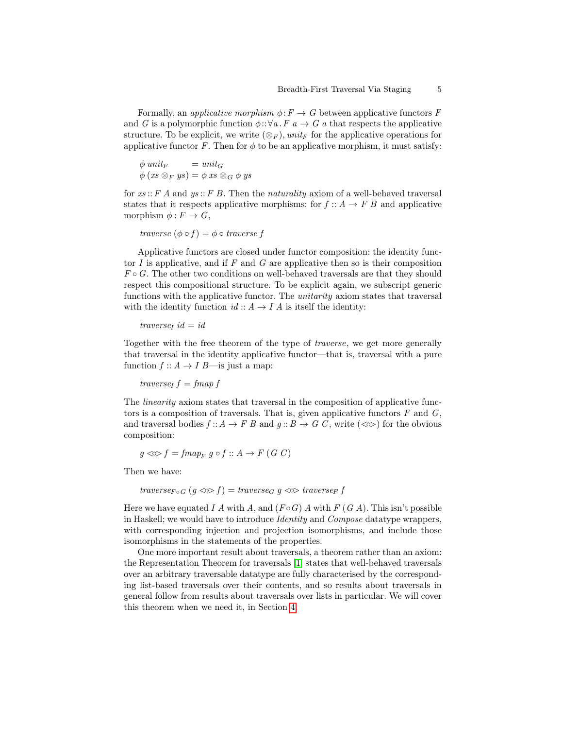Formally, an *applicative morphism*  $\phi: F \to G$  between applicative functors F and G is a polymorphic function  $\phi$ :: $\forall a \cdot F \ a \rightarrow G \ a$  that respects the applicative structure. To be explicit, we write  $(\otimes_F)$ , unit<sub>F</sub> for the applicative operations for applicative functor F. Then for  $\phi$  to be an applicative morphism, it must satisfy:

$$
\begin{array}{ll}\n\phi \text{ unit}_F &= \text{unit}_G\\ \n\phi \text{ (xs } \otimes_F \text{ ys)} = \phi \text{ xs } \otimes_G \phi \text{ ys}\n\end{array}
$$

for  $xs :: F A$  and  $ys :: F B$ . Then the *naturality* axiom of a well-behaved traversal states that it respects applicative morphisms: for  $f :: A \rightarrow F B$  and applicative morphism  $\phi: F \to G$ ,

```
traverse (\phi \circ f) = \phi \circ \text{traverse } f
```
Applicative functors are closed under functor composition: the identity functor  $I$  is applicative, and if  $F$  and  $G$  are applicative then so is their composition  $F \circ G$ . The other two conditions on well-behaved traversals are that they should respect this compositional structure. To be explicit again, we subscript generic functions with the applicative functor. The *unitarity* axiom states that traversal with the identity function  $id: A \rightarrow I A$  is itself the identity:

 $traverser$   $id = id$ 

Together with the free theorem of the type of traverse, we get more generally that traversal in the identity applicative functor—that is, traversal with a pure function  $f : A \to I$  B—is just a map:

 $traverser f = \text{fmap } f$ 

The *linearity* axiom states that traversal in the composition of applicative functors is a composition of traversals. That is, given applicative functors  $F$  and  $G$ , and traversal bodies  $f : A \to F B$  and  $g : B \to G C$ , write  $(\lll)$  for the obvious composition:

$$
g \ll f = \text{fmap}_F g \circ f :: A \to F(G C)
$$

Then we have:

traverse $F \circ G$  (g  $\ll \gg f$ ) = traverseg g  $\ll \gg$  traverseg f

Here we have equated I A with A, and  $(F \circ G)$  A with F (G A). This isn't possible in Haskell; we would have to introduce Identity and Compose datatype wrappers, with corresponding injection and projection isomorphisms, and include those isomorphisms in the statements of the properties.

One more important result about traversals, a theorem rather than an axiom: the Representation Theorem for traversals [\[1\]](#page-21-4) states that well-behaved traversals over an arbitrary traversable datatype are fully characterised by the corresponding list-based traversals over their contents, and so results about traversals in general follow from results about traversals over lists in particular. We will cover this theorem when we need it, in Section [4.](#page-8-0)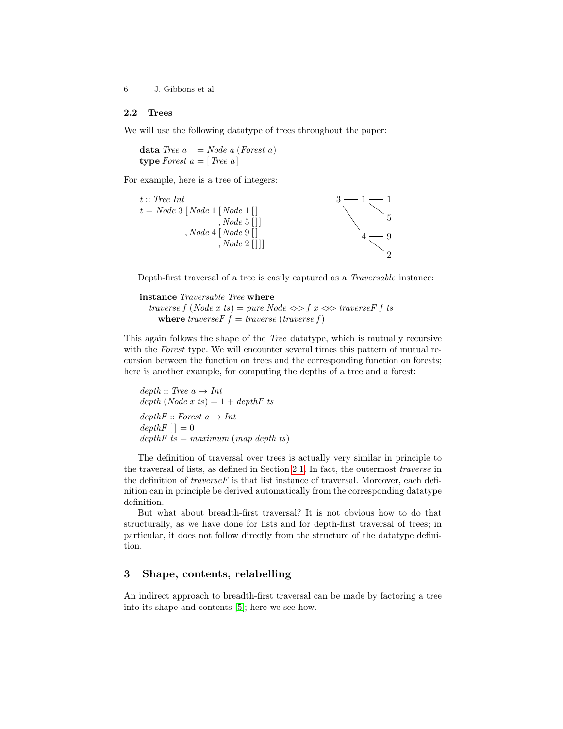### <span id="page-5-0"></span>2.2 Trees

We will use the following datatype of trees throughout the paper:

data Tree  $a = Node a$  (Forest a) type Forest  $a = [Tree a]$ 

For example, here is a tree of integers:



Depth-first traversal of a tree is easily captured as a Traversable instance:

instance Traversable Tree where traverse f (Node x ts) = pure Node  $\ll$  f x  $\ll$  traverse f f ts where traverseF  $f = \text{traverse}$  (traverse f)

This again follows the shape of the Tree datatype, which is mutually recursive with the Forest type. We will encounter several times this pattern of mutual recursion between the function on trees and the corresponding function on forests; here is another example, for computing the depths of a tree and a forest:

```
depth :: Tree a \rightarrow Intdepth (Node x ts) = 1 + depth F tsdepthF :: Forest\ a \rightarrow IntdepthF [ ] = 0depthF ts = maximum (map depth ts)
```
The definition of traversal over trees is actually very similar in principle to the traversal of lists, as defined in Section [2.1.](#page-3-0) In fact, the outermost traverse in the definition of  $traverseF$  is that list instance of traversal. Moreover, each definition can in principle be derived automatically from the corresponding datatype definition.

But what about breadth-first traversal? It is not obvious how to do that structurally, as we have done for lists and for depth-first traversal of trees; in particular, it does not follow directly from the structure of the datatype definition.

# <span id="page-5-1"></span>3 Shape, contents, relabelling

An indirect approach to breadth-first traversal can be made by factoring a tree into its shape and contents [\[5\]](#page-21-5); here we see how.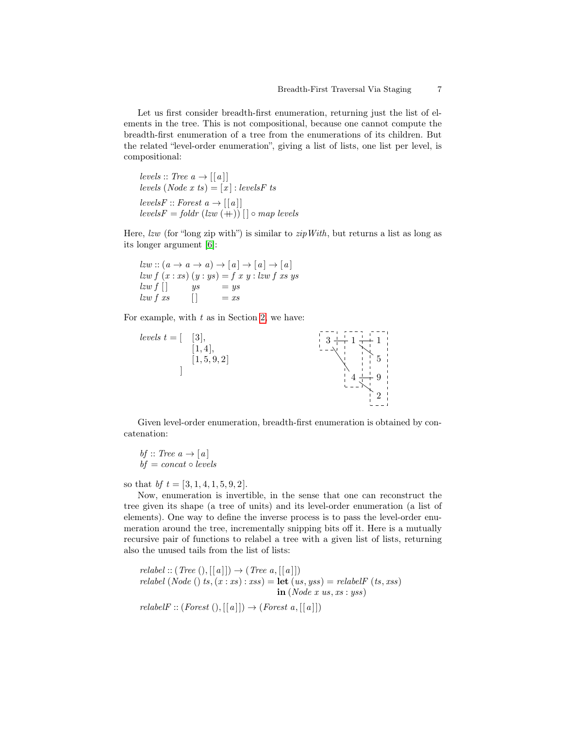Let us first consider breadth-first enumeration, returning just the list of elements in the tree. This is not compositional, because one cannot compute the breadth-first enumeration of a tree from the enumerations of its children. But the related "level-order enumeration", giving a list of lists, one list per level, is compositional:

```
levels :: Tree a \rightarrow [[a]]levels (Node x ts) = [x] : levelsF ts
levelsF :: Forest\ a \rightarrow [[a]]levelsF = foldr (lxw (+)) | \circ map levels
```
Here,  $lzw$  (for "long zip with") is similar to  $zipWith$ , but returns a list as long as its longer argument [\[6\]](#page-21-6):

$$
lzw :: (a \rightarrow a \rightarrow a) \rightarrow [a] \rightarrow [a] \rightarrow [a]
$$
  
\n
$$
lzw f (x : xs) (y : ys) = f x y : lzw f xs ys
$$
  
\n
$$
lzw f []
$$
  
\n
$$
v s = ys
$$
  
\n
$$
lzw f xs []
$$
  
\n
$$
= xs
$$

For example, with  $t$  as in Section [2,](#page-2-0) we have:



Given level-order enumeration, breadth-first enumeration is obtained by concatenation:

$$
bf :: Tree \ a \rightarrow [a]
$$
  

$$
bf = concat \circ levels
$$

so that  $bf \ t=[3,1,4,1,5,9,2].$ 

Now, enumeration is invertible, in the sense that one can reconstruct the tree given its shape (a tree of units) and its level-order enumeration (a list of elements). One way to define the inverse process is to pass the level-order enumeration around the tree, incrementally snipping bits off it. Here is a mutually recursive pair of functions to relabel a tree with a given list of lists, returning also the unused tails from the list of lists:

 $relabel :: (Tree (), [[a]]) \rightarrow (Tree a, [[a]])$ relabel (Node () ts,  $(x : xs) : xss$  = let  $(us, yss)$  = relabelF  $(ts, xss)$ in  $(Node\;x\;us, xs: yss)$  $relabelF :: (Forest (), [[a]]) \rightarrow (Forest (a, [[a]])$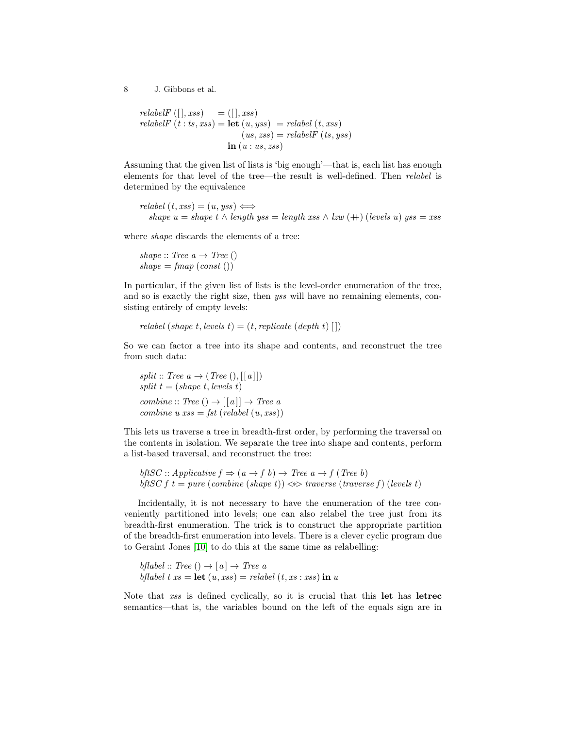$$
relabel F ([], xss) = ([], xss)
$$
  
\n
$$
relabel F (t: ts, xss) = \text{let } (u, yss) = relabel (t, xss)
$$
  
\n
$$
(us, zss) = relabel F (ts, yss)
$$
  
\n
$$
\text{in } (u: us, zss)
$$

Assuming that the given list of lists is 'big enough'—that is, each list has enough elements for that level of the tree—the result is well-defined. Then relabel is determined by the equivalence

```
relabel (t, xss) = (u, yss) \Longleftrightarrowshape u = shape \ t \wedge length \ yss = length \ xss \wedge lzw \ (+) \ (levels \ u) \ yss = xss
```
where shape discards the elements of a tree:

```
shape :: Tree a \rightarrow Tree ()
shape = fmap (const ()
```
In particular, if the given list of lists is the level-order enumeration of the tree, and so is exactly the right size, then yss will have no remaining elements, consisting entirely of empty levels:

```
relabel (shape t, levels t) = (t, replicate (depth t)])
```
So we can factor a tree into its shape and contents, and reconstruct the tree from such data:

```
split :: Tree a \rightarrow (Tree (), [[a]])split t = (shape t, levels t)combine :: Tree () \rightarrow [[a]] \rightarrow Tree acombine u xss = fst (relabel (u, xs))
```
This lets us traverse a tree in breadth-first order, by performing the traversal on the contents in isolation. We separate the tree into shape and contents, perform a list-based traversal, and reconstruct the tree:

```
bftSC :: Applicative f \Rightarrow (a \rightarrow f b) \rightarrow Tree \ a \rightarrow f (Tree \ b)bftSC f t = pure (combine (shape t)) \ll traverse (traverse f) (levels t)
```
Incidentally, it is not necessary to have the enumeration of the tree conveniently partitioned into levels; one can also relabel the tree just from its breadth-first enumeration. The trick is to construct the appropriate partition of the breadth-first enumeration into levels. There is a clever cyclic program due to Geraint Jones [\[10\]](#page-22-1) to do this at the same time as relabelling:

bflabel :: Tree  $() \rightarrow [a] \rightarrow Tree a$ bflabel t  $xs = \textbf{let}(u, xss) = relabel(t, xs : xss) \textbf{ in } u$ 

Note that xss is defined cyclically, so it is crucial that this let has let rec semantics—that is, the variables bound on the left of the equals sign are in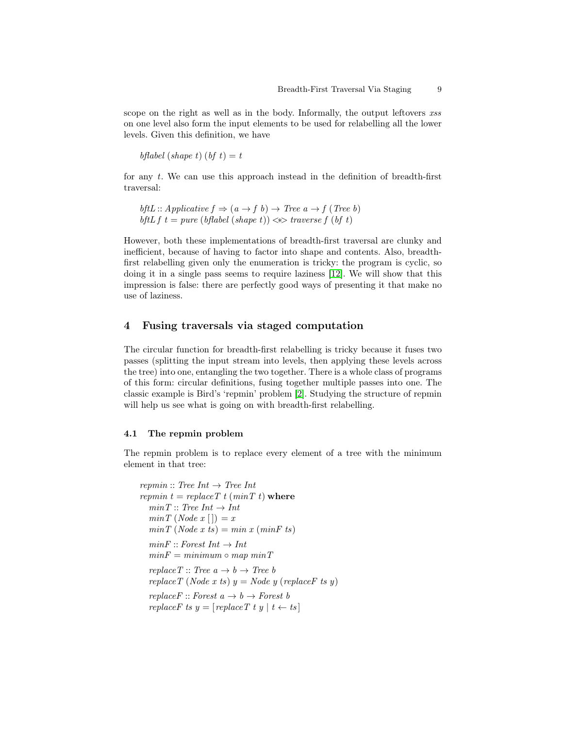scope on the right as well as in the body. Informally, the output leftovers xss on one level also form the input elements to be used for relabelling all the lower levels. Given this definition, we have

bflabel (shape t) (bf t) = t

for any  $t$ . We can use this approach instead in the definition of breadth-first traversal:

```
bftL :: Applicative f \Rightarrow (a \rightarrow f b) \rightarrow Tree a \rightarrow f (Tree b)
bftL f t = pure (bflabel (shape t)) \ll traverse f (bf t)
```
However, both these implementations of breadth-first traversal are clunky and inefficient, because of having to factor into shape and contents. Also, breadthfirst relabelling given only the enumeration is tricky: the program is cyclic, so doing it in a single pass seems to require laziness [\[12\]](#page-22-3). We will show that this impression is false: there are perfectly good ways of presenting it that make no use of laziness.

# <span id="page-8-0"></span>4 Fusing traversals via staged computation

The circular function for breadth-first relabelling is tricky because it fuses two passes (splitting the input stream into levels, then applying these levels across the tree) into one, entangling the two together. There is a whole class of programs of this form: circular definitions, fusing together multiple passes into one. The classic example is Bird's 'repmin' problem [\[2\]](#page-21-1). Studying the structure of repmin will help us see what is going on with breadth-first relabelling.

### 4.1 The repmin problem

The repmin problem is to replace every element of a tree with the minimum element in that tree:

```
repmin :: Tree Int \rightarrow Tree Int
repmin t = replace T t (min T t) where
  minT :: Tree Int \rightarrow IntminT (Node x [] ) = xminT (Node x ts) = min x (minF ts)minF :: Forest Int \rightarrow IntminF = minimum \circ map minTreplace T :: Tree a \rightarrow b \rightarrow Tree b
  replace T(Node\;x\;ts)\;y = Node\;y\;(replace\;F\;ts\;y)replaceF :: Forest\ a \rightarrow b \rightarrow Forest\ breplaceF ts y = [replaceT t y | t \leftarrow ts]
```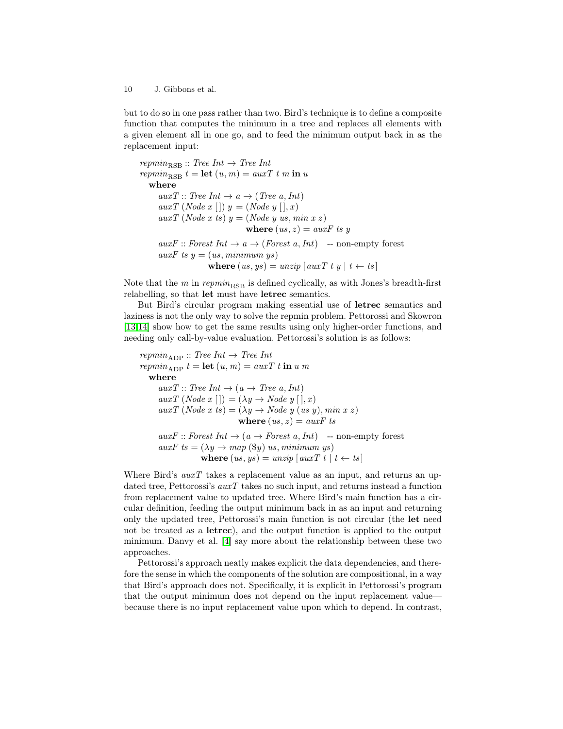but to do so in one pass rather than two. Bird's technique is to define a composite function that computes the minimum in a tree and replaces all elements with a given element all in one go, and to feed the minimum output back in as the replacement input:

 $repmin<sub>RSB</sub> :: Tree Int \rightarrow Tree Int$ repmin<sub>RSB</sub>  $t = \text{let } (u, m) = auxT t m \text{ in } u$ where  $auxT :: Tree Int \rightarrow a \rightarrow (Tree a, Int)$  $auxT (Node x [] y = (Node y [] x)$  $auxT (Node x ts) y = (Node y us, min x z)$ where  $(us, z) = auxF$  is y  $auxF :: Forest Int \rightarrow a \rightarrow (Forest a, Int) \rightarrow -non-empty forest$  $auxF$  ts  $y = (us, minimum ys)$ where  $(us, ys) = unzip \, [auxT \, t \, y \, | \, t \leftarrow ts]$ 

Note that the m in  $repmin<sub>RSB</sub>$  is defined cyclically, as with Jones's breadth-first relabelling, so that let must have letrec semantics.

But Bird's circular program making essential use of letrec semantics and laziness is not the only way to solve the repmin problem. Pettorossi and Skowron [\[13](#page-22-4)[,14\]](#page-22-5) show how to get the same results using only higher-order functions, and needing only call-by-value evaluation. Pettorossi's solution is as follows:

```
repmin<sub>ADP</sub> :: Tree Int \rightarrow Tree Int
repmin<sub>ADP</sub> t = \text{let}(u, m) = auxT t \text{ in } u mwhere
      auxT :: Tree Int \rightarrow (a \rightarrow Tree a, Int)auxT (Node x [] ) = (\lambda y \rightarrow Node y ], x)auxT (Node x ts) = (\lambda y \rightarrow Node y (us y), min x z)where (us, z) = auxF ts
      auxF :: Forest Int \rightarrow (a \rightarrow Forest a, Int) -- non-empty forest
      auxF ts = (\lambda y \rightarrow map \, (\$y) \, us, minimum \, ys)where (us, ys) = unzip \, [auxT \, t \mid t \leftarrow ts]
```
Where Bird's  $auxT$  takes a replacement value as an input, and returns an updated tree, Pettorossi's  $auxT$  takes no such input, and returns instead a function from replacement value to updated tree. Where Bird's main function has a circular definition, feeding the output minimum back in as an input and returning only the updated tree, Pettorossi's main function is not circular (the let need not be treated as a letrec), and the output function is applied to the output minimum. Danvy et al. [\[4\]](#page-21-7) say more about the relationship between these two approaches.

Pettorossi's approach neatly makes explicit the data dependencies, and therefore the sense in which the components of the solution are compositional, in a way that Bird's approach does not. Specifically, it is explicit in Pettorossi's program that the output minimum does not depend on the input replacement value because there is no input replacement value upon which to depend. In contrast,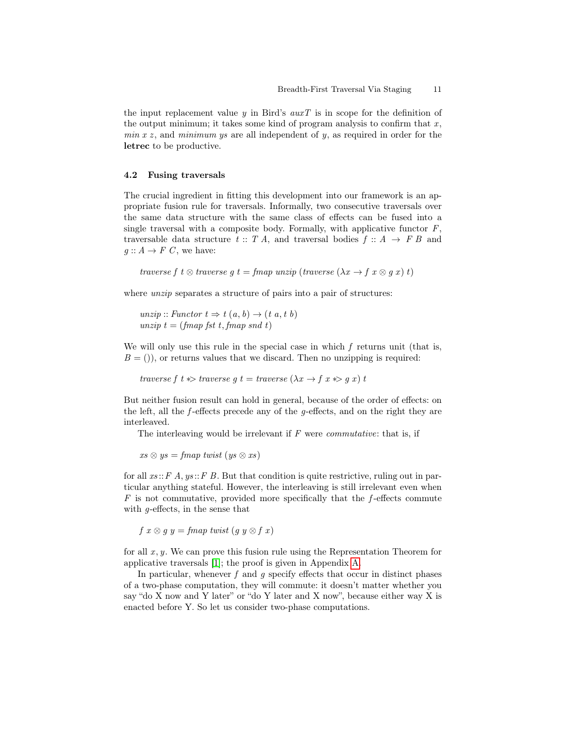the input replacement value y in Bird's  $auxT$  is in scope for the definition of the output minimum; it takes some kind of program analysis to confirm that  $x$ ,  $min\ x\ z$ , and  $minimum\ ys$  are all independent of  $y$ , as required in order for the letrec to be productive.

#### 4.2 Fusing traversals

The crucial ingredient in fitting this development into our framework is an appropriate fusion rule for traversals. Informally, two consecutive traversals over the same data structure with the same class of effects can be fused into a single traversal with a composite body. Formally, with applicative functor  $F$ , traversable data structure  $t :: T A$ , and traversal bodies  $f :: A \rightarrow F B$  and  $q :: A \rightarrow F C$ , we have:

```
traverse f t \otimes traverse q t = fmap unzip (traverse (\lambda x \rightarrow f x \otimes q x) t)
```
where *unzip* separates a structure of pairs into a pair of structures:

unzip :: Functor  $t \Rightarrow t(a, b) \rightarrow (t a, t b)$ unzip  $t = (fmap fst t, fmap sndt)$ 

We will only use this rule in the special case in which f returns unit (that is,  $B = ()$ , or returns values that we discard. Then no unzipping is required:

traverse f t  $\ast$ > traverse g t = traverse ( $\lambda x \rightarrow f x \ast$ > g x) t

But neither fusion result can hold in general, because of the order of effects: on the left, all the  $f$ -effects precede any of the  $g$ -effects, and on the right they are interleaved.

The interleaving would be irrelevant if  $F$  were *commutative*: that is, if

 $xs \otimes ys = \text{fmap twist} (ys \otimes xs)$ 

for all  $xs::F A, ys::F B$ . But that condition is quite restrictive, ruling out in particular anything stateful. However, the interleaving is still irrelevant even when  $F$  is not commutative, provided more specifically that the f-effects commute with  $q$ -effects, in the sense that

 $f x \otimes g y = f map twist (g y \otimes f x)$ 

for all  $x, y$ . We can prove this fusion rule using the Representation Theorem for applicative traversals [\[1\]](#page-21-4); the proof is given in Appendix [A.](#page-22-2)

In particular, whenever  $f$  and  $g$  specify effects that occur in distinct phases of a two-phase computation, they will commute: it doesn't matter whether you say "do X now and Y later" or "do Y later and X now", because either way X is enacted before Y. So let us consider two-phase computations.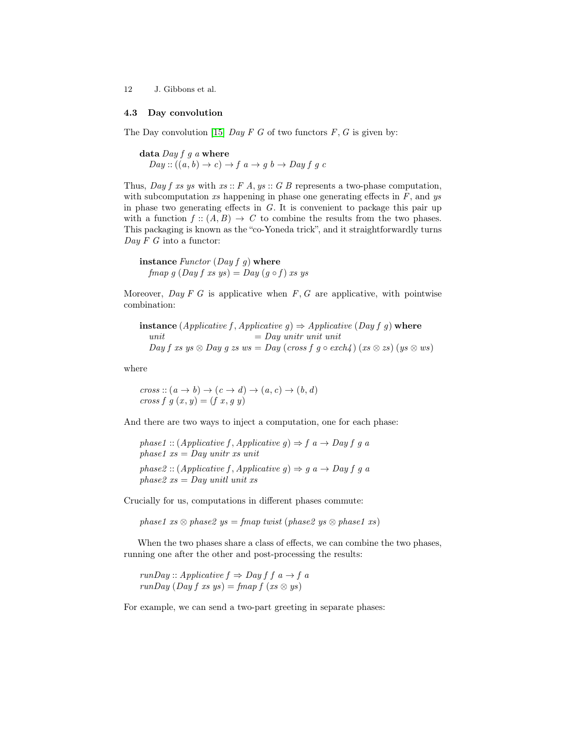#### 4.3 Day convolution

The Day convolution [\[15\]](#page-22-6)  $Day F G$  of two functors  $F, G$  is given by:

data  $Day f g a$  where  $Day :: ((a, b) \rightarrow c) \rightarrow f \ a \rightarrow g \ b \rightarrow Day f \ g \ c$ 

Thus, Day f xs ys with  $xs :: F A$ ,  $ys :: G B$  represents a two-phase computation, with subcomputation  $xs$  happening in phase one generating effects in  $F$ , and  $ys$ in phase two generating effects in  $G$ . It is convenient to package this pair up with a function  $f: (A, B) \to C$  to combine the results from the two phases. This packaging is known as the "co-Yoneda trick", and it straightforwardly turns  $Day F G$  into a functor:

instance  $Function (Day f g)$  where fmap g  $(Day f xs ys) = Day (g \circ f) xs ys$ 

Moreover, Day F G is applicative when  $F, G$  are applicative, with pointwise combination:

instance (Applicative f, Applicative g)  $\Rightarrow$  Applicative (Day f g) where unit  $=$  Day unitr unit unit Day f xs ys  $\otimes$  Day g zs ws = Day (cross f g  $\circ$  exch4) (xs  $\otimes$  zs) (ys  $\otimes$  ws)

where

 $cross :: (a \rightarrow b) \rightarrow (c \rightarrow d) \rightarrow (a, c) \rightarrow (b, d)$ cross f  $q(x, y) = (f(x, q(y)))$ 

And there are two ways to inject a computation, one for each phase:

phase1 :: (Applicative f, Applicative g)  $\Rightarrow$  f a  $\rightarrow$  Day f g a phase1  $xs = Day$  unitr xs unit phase2 :: (Applicative f, Applicative g)  $\Rightarrow$  g a  $\rightarrow$  Day f g a phase2  $xs = Day$  unitl unit xs

Crucially for us, computations in different phases commute:

phase1  $xs \otimes phase2$   $ys = fmap$  twist (phase2  $ys \otimes phase1$   $xs)$ )

When the two phases share a class of effects, we can combine the two phases, running one after the other and post-processing the results:

runDay :: Applicative  $f \Rightarrow Day f f a \rightarrow f a$ runDay (Day f xs ys) = fmap f (xs  $\otimes$  ys)

For example, we can send a two-part greeting in separate phases: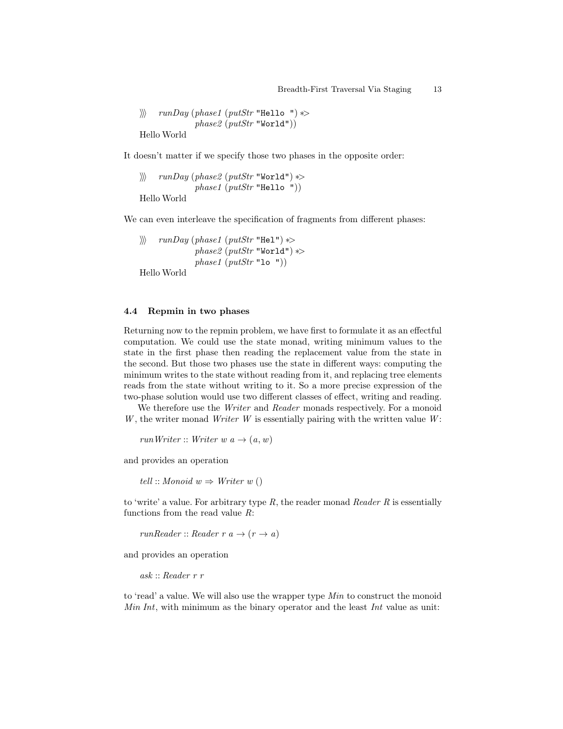iiin runDay (phase1 (putStr "Hello ") ∗>  $phase2$   $(\text{putStr}$  "World")) Hello World

It doesn't matter if we specify those two phases in the opposite order:

iii runDay (phase2 (putStr "World") ∗>  $phase1 (putStr "Hello "))$ Hello World

We can even interleave the specification of fragments from different phases:

iiii runDay (phase1 (putStr "Hel") ∗>  $phase2$  ( $putStr$  "World")  $\gg$ phase1  $(\text{putStr }\mathsf{``lo }\mathsf{''})$ 

Hello World

#### 4.4 Repmin in two phases

Returning now to the repmin problem, we have first to formulate it as an effectful computation. We could use the state monad, writing minimum values to the state in the first phase then reading the replacement value from the state in the second. But those two phases use the state in different ways: computing the minimum writes to the state without reading from it, and replacing tree elements reads from the state without writing to it. So a more precise expression of the two-phase solution would use two different classes of effect, writing and reading.

We therefore use the *Writer* and *Reader* monads respectively. For a monoid W, the writer monad Writer W is essentially pairing with the written value  $W$ :

runWriter :: Writer  $w \circ a \rightarrow (a, w)$ 

and provides an operation

tell :: Monoid  $w \Rightarrow W$ riter w ()

to 'write' a value. For arbitrary type  $R$ , the reader monad *Reader R* is essentially functions from the read value R:

 $runReader :: Reader \, r \, a \rightarrow (r \rightarrow a)$ 

and provides an operation

ask :: Reader r r

to 'read' a value. We will also use the wrapper type Min to construct the monoid  $Min Int$ , with minimum as the binary operator and the least  $Int$  value as unit: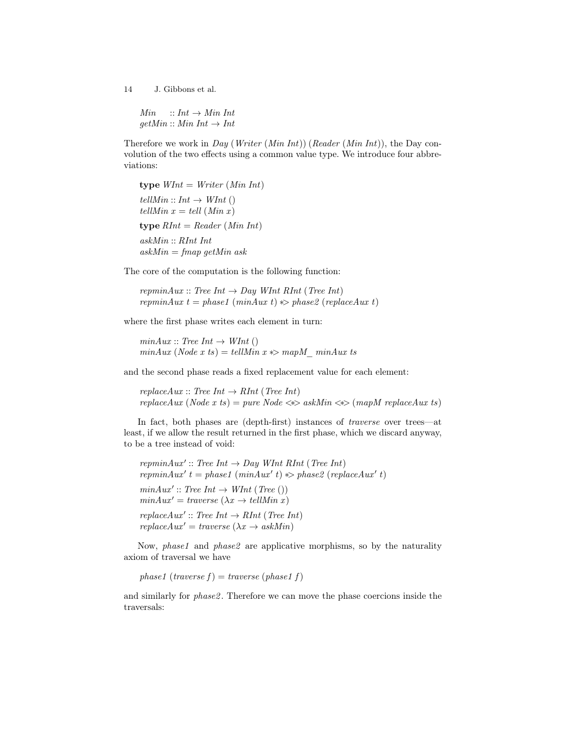$Min$  :: Int  $\rightarrow Min$  Int  $getMin::Min Int \rightarrow Int$ 

Therefore we work in  $Day (Writer (Min Int)) (Reader (Min Int)),$  the Day convolution of the two effects using a common value type. We introduce four abbreviations:

type  $WInt = Writer (Min Int)$ tellMin :: Int  $\rightarrow$  WInt () tellMin  $x = tell$  (Min x) type  $RInt = Reader$  (Min Int) askMin :: RInt Int  $askMin = \text{fmap getMin } ask$ 

The core of the computation is the following function:

 $repminAux :: Tree Int \rightarrow Day WInt RInt (Tree Int)$  $repminAux t = phase1$  ( $minAux t$ )  $\gg phase2$  (replaceAux t)

where the first phase writes each element in turn:

 $minAux :: Tree Int \rightarrow WInt()$  $minAux (Node x ts) = tellMin x \gg mapM - minAux ts$ 

and the second phase reads a fixed replacement value for each element:

 $replaceAux :: Tree Int \rightarrow RInt (Tree Int)$  $replaceAux (Node x ts) = pure Node \iff askMin \iff (mapM replaceAux ts)$ 

In fact, both phases are (depth-first) instances of traverse over trees—at least, if we allow the result returned in the first phase, which we discard anyway, to be a tree instead of void:

 $repminAux':$  Tree Int  $\rightarrow$  Day WInt RInt (Tree Int)  $repminAux'$  t = phase1 ( $minAux'$  t)  $\gg$  phase2 (replaceAux' t)  $minAux' :: Tree Int \rightarrow WInt (Tree())$  $minAux' = traverse (\lambda x \rightarrow tellMin x)$  $replaceAux' :: Tree Int \rightarrow RInt (Tree Int)$  $replaceAux' = traverse (\lambda x \rightarrow askMin)$ 

Now, phase1 and phase2 are applicative morphisms, so by the naturality axiom of traversal we have

```
phase1 (traverse f) = traverse (phase1 f)
```
and similarly for *phase2*. Therefore we can move the phase coercions inside the traversals: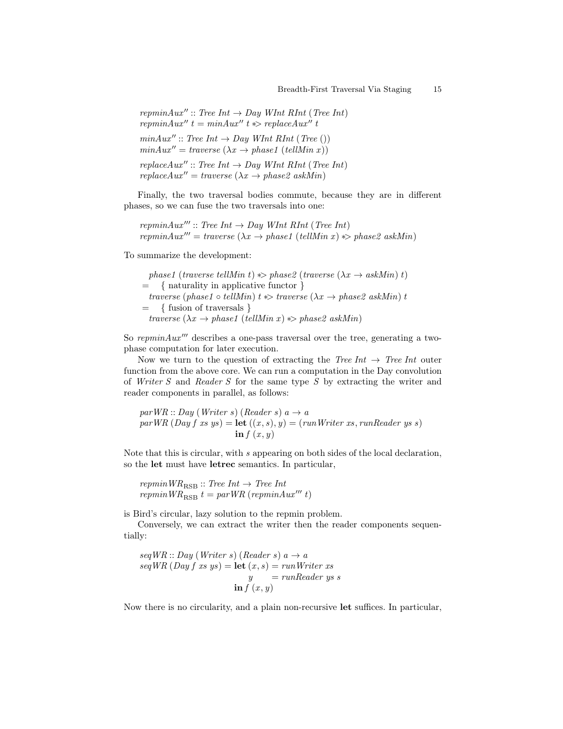$repminAux' :: Tree Int \rightarrow Day WInt RInt (Tree Int)$  $repminAux''$   $t = minAux''$   $t \gg replaceAux''$   $t$  $minAux' :: Tree Int \rightarrow Day WInt RInt (Tree())$  $minAux'' = traverse (\lambda x \rightarrow phase1 (tellMin x))$  $replaceAux' :: Tree Int \rightarrow Day WInt RInt (Tree Int)$  $replaceAux'' = traverse (\lambda x \rightarrow phase2 askMin)$ 

Finally, the two traversal bodies commute, because they are in different phases, so we can fuse the two traversals into one:

 $repminAux''' :: Tree Int \rightarrow Day WInt RInt (Tree Int)$  $repminAux''' = traverse (\lambda x \rightarrow phase1 (tellMin x) \gg phase2 askMin)$ 

To summarize the development:

phase1 (traverse tellMin t)  $\gg$  phase2 (traverse ( $\lambda x \rightarrow$  askMin) t) = { naturality in applicative functor } traverse (phase1 ◦ tellMin)  $t \gg$  traverse ( $\lambda x \rightarrow$  phase2 askMin) t = { fusion of traversals } traverse ( $\lambda x \rightarrow phase1$  (tellMin x)  $\gg phase2$  askMin)

So repminAux<sup> $\prime\prime\prime$ </sup> describes a one-pass traversal over the tree, generating a twophase computation for later execution.

Now we turn to the question of extracting the Tree Int  $\rightarrow$  Tree Int outer function from the above core. We can run a computation in the Day convolution of Writer S and Reader S for the same type S by extracting the writer and reader components in parallel, as follows:

```
parWR :: Day (Writer s) (Reader s) a \rightarrow aparWR (Day f xs ys) = let ((x, s), y) = (runWriter xs, runReader ys s)in f(x, y)
```
Note that this is circular, with s appearing on both sides of the local declaration, so the let must have letrec semantics. In particular,

 $\mathit{repminWR}_\mathrm{RSB}$  :: Tree  $\mathit{Int} \rightarrow \mathit{Tree}\ \mathit{Int}$  $repminWR_{\rm{RSB}}$   $t=parWR$   $(repminAux'''$   $t)$ 

is Bird's circular, lazy solution to the repmin problem.

Conversely, we can extract the writer then the reader components sequentially:

 $seqWR :: Day$  (*Writer s*) (*Reader s*)  $a \rightarrow a$  $\text{seq} WR \text{ } (Day f \text{ } xs \text{ } ys) = \text{let } (x, s) = run \text{Writer } xs$  $y = runReader$  ys s  $\inf f(x, y)$ 

Now there is no circularity, and a plain non-recursive let suffices. In particular,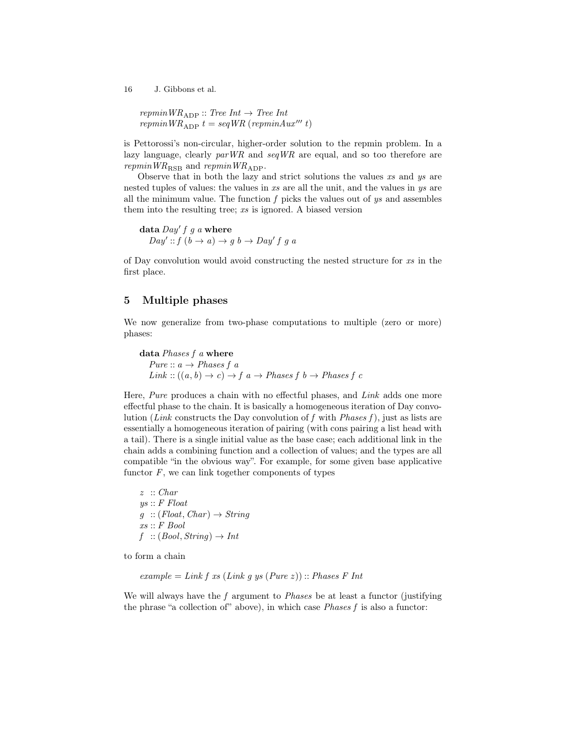$repminWR_{ADP}$  :: Tree Int  $\rightarrow$  Tree Int  $repminWR<sub>ADP</sub> t = seqWR (repminAux''' t)$ 

is Pettorossi's non-circular, higher-order solution to the repmin problem. In a lazy language, clearly  $parWR$  and  $seqWR$  are equal, and so too therefore are  $repminWR_{\text{RSB}}$  and  $repminWR_{\text{ADP}}$ .

Observe that in both the lazy and strict solutions the values  $xs$  and  $ys$  are nested tuples of values: the values in xs are all the unit, and the values in ys are all the minimum value. The function  $f$  picks the values out of  $ys$  and assembles them into the resulting tree; xs is ignored. A biased version

data  $Day' f g a$  where  $Day': f (b \rightarrow a) \rightarrow g b \rightarrow Day' f g a$ 

of Day convolution would avoid constructing the nested structure for xs in the first place.

## <span id="page-15-0"></span>5 Multiple phases

We now generalize from two-phase computations to multiple (zero or more) phases:

data Phases f a where  $Pure :: a \rightarrow Phases f a$ *Link* ::  $((a, b) \rightarrow c) \rightarrow f \ a \rightarrow Phases f \ b \rightarrow Phases f \ c$ 

Here, Pure produces a chain with no effectful phases, and Link adds one more effectful phase to the chain. It is basically a homogeneous iteration of Day convolution (Link constructs the Day convolution of f with Phases f), just as lists are essentially a homogeneous iteration of pairing (with cons pairing a list head with a tail). There is a single initial value as the base case; each additional link in the chain adds a combining function and a collection of values; and the types are all compatible "in the obvious way". For example, for some given base applicative functor  $F$ , we can link together components of types

 $z \ :: Char$  $ys :: F$  Float  $g$  :: (Float, Char)  $\rightarrow$  String  $xs :: F$  Bool  $f$  :: (Bool, String)  $\rightarrow Int$ 

to form a chain

```
example = Link f xs (Link g ys (Pure z)) :: Phases F Int
```
We will always have the  $f$  argument to *Phases* be at least a functor (justifying the phrase "a collection of" above), in which case  $Phases f$  is also a functor: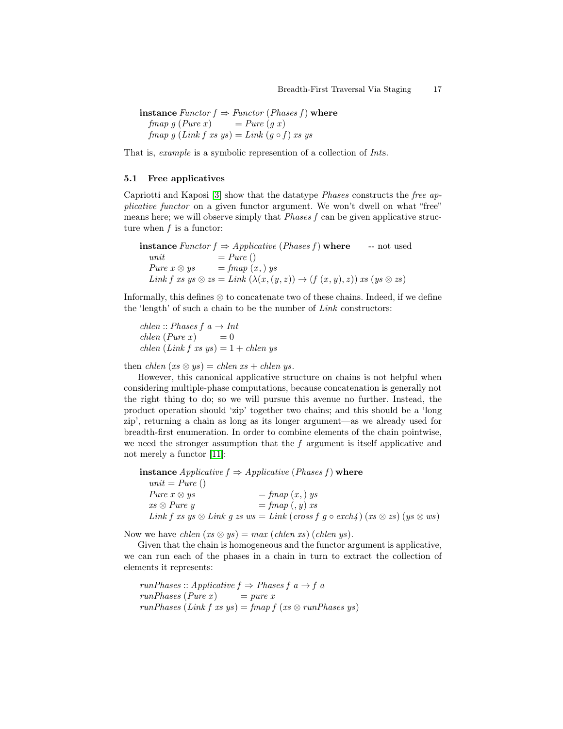instance  $Function f \Rightarrow Function (Phases f)$  where fmap g (Pure x)  $=$  Pure  $(g x)$  $fmap\ g(Link\ f\ xs\ ys) = Link\ (g\circ f)\ xs\ ys$ 

That is, example is a symbolic represention of a collection of Ints.

## 5.1 Free applicatives

Capriotti and Kaposi [\[3\]](#page-21-8) show that the datatype Phases constructs the free applicative functor on a given functor argument. We won't dwell on what "free" means here; we will observe simply that  $Phases f$  can be given applicative structure when  $f$  is a functor:

```
instance Functor f \Rightarrow Applicative (Phases f) where -- not used
  unit = Pure()Pure x \otimes ys = \text{fmap}(x, y)Link f xs ys \otimes zs = Link (\lambda(x, (y, z)) \rightarrow (f(x, y), z)) xs (ys \otimes zs)
```
Informally, this defines ⊗ to concatenate two of these chains. Indeed, if we define the 'length' of such a chain to be the number of Link constructors:

chlen :: Phases  $f \circ a \rightarrow Int$ chlen  $(Pure x) = 0$ chlen (Link f xs ys) =  $1 +$  chlen ys

then chlen  $(xs \otimes ys) = chlen xs + chlen ys$ .

However, this canonical applicative structure on chains is not helpful when considering multiple-phase computations, because concatenation is generally not the right thing to do; so we will pursue this avenue no further. Instead, the product operation should 'zip' together two chains; and this should be a 'long zip', returning a chain as long as its longer argument—as we already used for breadth-first enumeration. In order to combine elements of the chain pointwise, we need the stronger assumption that the  $f$  argument is itself applicative and not merely a functor [\[11\]](#page-22-0):

instance  $Applicative f \Rightarrow Applicative (Phases f)$  where  $unit = Pure()$ Pure  $x \otimes ys$  = fmap  $(x, y)$  $xs \otimes Pure \t y$  =  $fmap (y) \t xs$ Link f xs ys  $\otimes$  Link g zs ws = Link (cross f g  $\circ$  exch $\downarrow$ ) (xs  $\otimes$  zs) (ys  $\otimes$  ws)

Now we have chlen  $(xs \otimes ys) = max$  (chlen xs) (chlen ys).

Given that the chain is homogeneous and the functor argument is applicative, we can run each of the phases in a chain in turn to extract the collection of elements it represents:

runPhases :: Applicative  $f \Rightarrow Phases f a \rightarrow f a$  $runPhases (Pure x) = pure x$  $runPhases (Link f xs ys) = fmap f (xs \otimes runPhases ys)$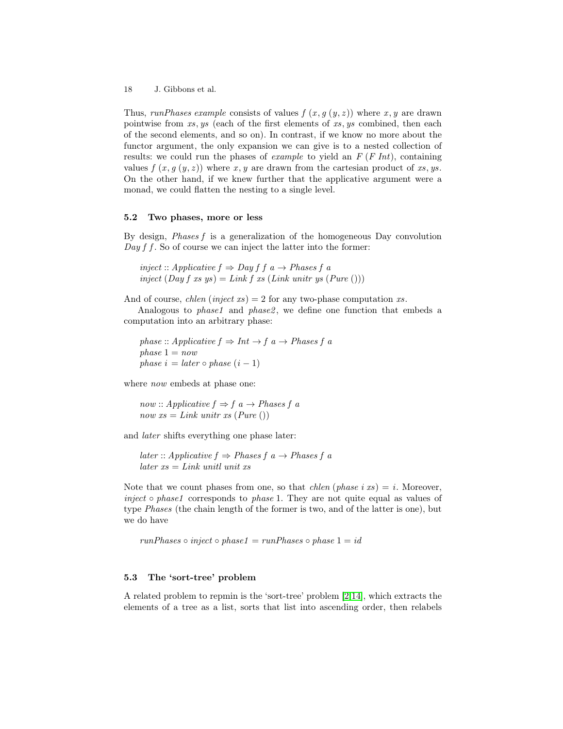Thus, runPhases example consists of values  $f(x, g(y, z))$  where x, y are drawn pointwise from  $xs, ys$  (each of the first elements of  $xs, ys$  combined, then each of the second elements, and so on). In contrast, if we know no more about the functor argument, the only expansion we can give is to a nested collection of results: we could run the phases of *example* to yield an  $F(FInt)$ , containing values  $f(x, g(y, z))$  where x, y are drawn from the cartesian product of xs, ys. On the other hand, if we knew further that the applicative argument were a monad, we could flatten the nesting to a single level.

#### 5.2 Two phases, more or less

By design, *Phases f* is a generalization of the homogeneous Day convolution  $Day f f$ . So of course we can inject the latter into the former:

inject :: Applicative  $f \Rightarrow Day f f a \rightarrow Phases f a$ inject  $(Day f xs ys) = Link f xs (Link unit r ys (Pure )))$ 

And of course, *chlen* (*inject xs*) = 2 for any two-phase computation xs.

Analogous to *phase1* and *phase2*, we define one function that embeds a computation into an arbitrary phase:

phase :: Applicative  $f \Rightarrow Int \rightarrow f$  a  $\rightarrow$  Phases f a  $phase 1 = now$ phase  $i = later \circ phase (i - 1)$ 

where *now* embeds at phase one:

 $now :: Applicative f \Rightarrow f a \rightarrow Phases f a$ now  $xs = Link$  unitr  $xs$  (Pure ())

and later shifts everything one phase later:

later :: Applicative  $f \Rightarrow Phases f \ a \rightarrow Phases f \ a$  $later \; xs = Link \; unit \; unit \; xs$ 

Note that we count phases from one, so that *chlen* (*phase i xs*) = *i*. Moreover, inject  $\circ$  phase1 corresponds to phase 1. They are not quite equal as values of type Phases (the chain length of the former is two, and of the latter is one), but we do have

 $runPhases \circ inject \circ phase1 = runPhases \circ phase1 = id$ 

### <span id="page-17-0"></span>5.3 The 'sort-tree' problem

A related problem to repmin is the 'sort-tree' problem [\[2,](#page-21-1)[14\]](#page-22-5), which extracts the elements of a tree as a list, sorts that list into ascending order, then relabels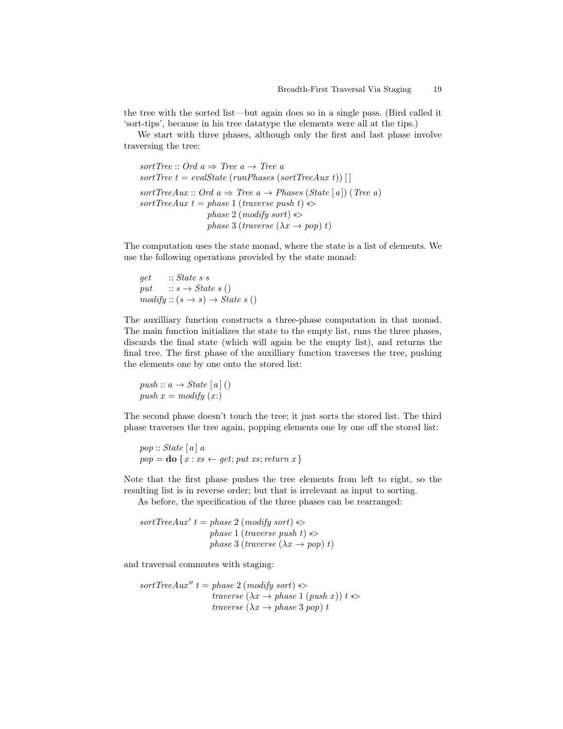the tree with the sorted list—but again does so in a single pass. (Bird called it 'sort-tips', because in his tree datatype the elements were all at the tips.)

We start with three phases, although only the first and last phase involve traversing the tree:

```
\mathit{sortTree} :: \mathit{Ord} \ a \Rightarrow \mathit{Tree} \ a \rightarrow \mathit{Tree} \ asortTree t = evalState (runPhases (sortTreeAux t)) []
sortTreeAux :: Ord a \Rightarrow Tree a \rightarrow Phases (State [a]) (Tree a)
sortTreeAux t = phase 1 (traverse push t) \ggphase 2 (modify sort) \ggphase 3 (traverse (\lambda x \rightarrow pop) t)
```
The computation uses the state monad, where the state is a list of elements. We use the following operations provided by the state monad:

 $get \qquad :: State \; s \; s$ put  $:: s \rightarrow State s()$  $\textit{modify} :: (s \rightarrow s) \rightarrow \textit{State} s()$ 

The auxilliary function constructs a three-phase computation in that monad. The main function initializes the state to the empty list, runs the three phases, discards the final state (which will again be the empty list), and returns the final tree. The first phase of the auxilliary function traverses the tree, pushing the elements one by one onto the stored list:

 $push :: a \rightarrow State [a] ()$ push  $x = \text{modify}(x)$ 

The second phase doesn't touch the tree; it just sorts the stored list. The third phase traverses the tree again, popping elements one by one off the stored list:

 $pop::State[a]a$  $pop =$ **do**  $\{x : xs \leftarrow qet; put xs; return x\}$ 

Note that the first phase pushes the tree elements from left to right, so the resulting list is in reverse order; but that is irrelevant as input to sorting.

As before, the specification of the three phases can be rearranged:

 $sortTreeAux'$   $t = phase$  2  $(modify$  sort)  $\gg$ phase 1 (traverse push t)  $\gg$ phase 3 (traverse  $(\lambda x \rightarrow pop) t$ )

and traversal commutes with staging:

 $sortTreeAux''$  t = phase 2 (modify sort)  $\gg$ traverse  $(\lambda x \rightarrow phase 1 (push x)) t \gg$ traverse  $(\lambda x \rightarrow phase 3 pop) t$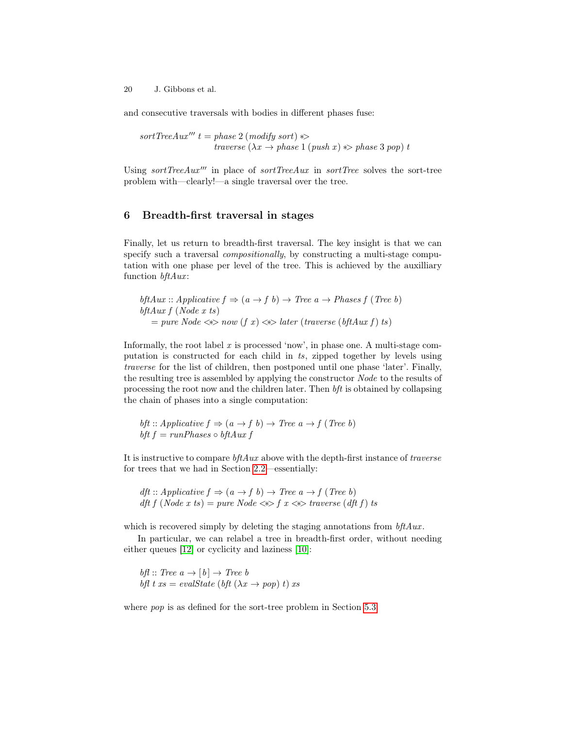and consecutive traversals with bodies in different phases fuse:

 $sortTreeAux'''$  t = phase 2 (modify sort)  $\gg$ traverse  $(\lambda x \rightarrow phase 1 (push x) \gg phase 3 pop) t$ 

Using sortTreeAux''' in place of sortTreeAux in sortTree solves the sort-tree problem with—clearly!—a single traversal over the tree.

### <span id="page-19-0"></span>6 Breadth-first traversal in stages

Finally, let us return to breadth-first traversal. The key insight is that we can specify such a traversal *compositionally*, by constructing a multi-stage computation with one phase per level of the tree. This is achieved by the auxilliary function  $bfA}ux$ :

```
bftAux :: Applicative f \Rightarrow (a \rightarrow f b) \rightarrow Tree a \rightarrow Phases f (Tree b)
bftAux f (Node x ts)= pure\ Node \ll\gg now \ (f\ x) \ll\gg later \ (traverse \ (bftAux \ f)\ ts)
```
Informally, the root label  $x$  is processed 'now', in phase one. A multi-stage computation is constructed for each child in ts, zipped together by levels using traverse for the list of children, then postponed until one phase 'later'. Finally, the resulting tree is assembled by applying the constructor Node to the results of processing the root now and the children later. Then bft is obtained by collapsing the chain of phases into a single computation:

 $bf :: Applicative f \Rightarrow (a \rightarrow f b) \rightarrow Tree a \rightarrow f (Tree b)$ bft  $f = runPhases \circ bftAux f$ 

It is instructive to compare  $bfA}$  above with the depth-first instance of *traverse* for trees that we had in Section [2.2—](#page-5-0)essentially:

 $dft$  :: Applicative  $f \Rightarrow (a \rightarrow f b) \rightarrow Tree \ a \rightarrow f (Tree \ b)$ dft f (Node x ts) = pure Node  $\ll\gg$  f x  $\ll\gg$  traverse (dft f) ts

which is recovered simply by deleting the staging annotations from  $bf$   $bf$ .

In particular, we can relabel a tree in breadth-first order, without needing either queues [\[12\]](#page-22-3) or cyclicity and laziness [\[10\]](#page-22-1):

 $bf :: Tree a \rightarrow [b] \rightarrow Tree b$ bfl t  $xs = evalState$  (bft  $(\lambda x \rightarrow pop)$ ) t  $xs$ 

where *pop* is as defined for the sort-tree problem in Section [5.3.](#page-17-0)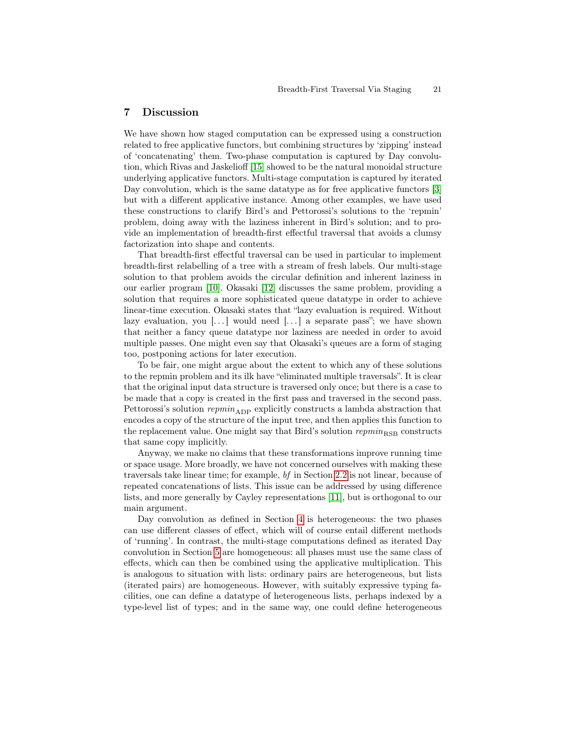# <span id="page-20-0"></span>7 Discussion

We have shown how staged computation can be expressed using a construction related to free applicative functors, but combining structures by 'zipping' instead of 'concatenating' them. Two-phase computation is captured by Day convolution, which Rivas and Jaskelioff [\[15\]](#page-22-6) showed to be the natural monoidal structure underlying applicative functors. Multi-stage computation is captured by iterated Day convolution, which is the same datatype as for free applicative functors [\[3\]](#page-21-8) but with a different applicative instance. Among other examples, we have used these constructions to clarify Bird's and Pettorossi's solutions to the 'repmin' problem, doing away with the laziness inherent in Bird's solution; and to provide an implementation of breadth-first effectful traversal that avoids a clumsy factorization into shape and contents.

That breadth-first effectful traversal can be used in particular to implement breadth-first relabelling of a tree with a stream of fresh labels. Our multi-stage solution to that problem avoids the circular definition and inherent laziness in our earlier program [\[10\]](#page-22-1). Okasaki [\[12\]](#page-22-3) discusses the same problem, providing a solution that requires a more sophisticated queue datatype in order to achieve linear-time execution. Okasaki states that "lazy evaluation is required. Without lazy evaluation, you  $[\dots]$  would need  $[\dots]$  a separate pass"; we have shown that neither a fancy queue datatype nor laziness are needed in order to avoid multiple passes. One might even say that Okasaki's queues are a form of staging too, postponing actions for later execution.

To be fair, one might argue about the extent to which any of these solutions to the repmin problem and its ilk have "eliminated multiple traversals". It is clear that the original input data structure is traversed only once; but there is a case to be made that a copy is created in the first pass and traversed in the second pass. Pettorossi's solution  $repmin<sub>ADP</sub>$  explicitly constructs a lambda abstraction that encodes a copy of the structure of the input tree, and then applies this function to the replacement value. One might say that Bird's solution  $repmin<sub>RSB</sub>$  constructs that same copy implicitly.

Anyway, we make no claims that these transformations improve running time or space usage. More broadly, we have not concerned ourselves with making these traversals take linear time; for example, bf in Section [2.2](#page-5-0) is not linear, because of repeated concatenations of lists. This issue can be addressed by using difference lists, and more generally by Cayley representations [\[11\]](#page-22-0), but is orthogonal to our main argument.

Day convolution as defined in Section [4](#page-8-0) is heterogeneous: the two phases can use different classes of effect, which will of course entail different methods of 'running'. In contrast, the multi-stage computations defined as iterated Day convolution in Section [5](#page-15-0) are homogeneous: all phases must use the same class of effects, which can then be combined using the applicative multiplication. This is analogous to situation with lists: ordinary pairs are heterogeneous, but lists (iterated pairs) are homogeneous. However, with suitably expressive typing facilities, one can define a datatype of heterogeneous lists, perhaps indexed by a type-level list of types; and in the same way, one could define heterogeneous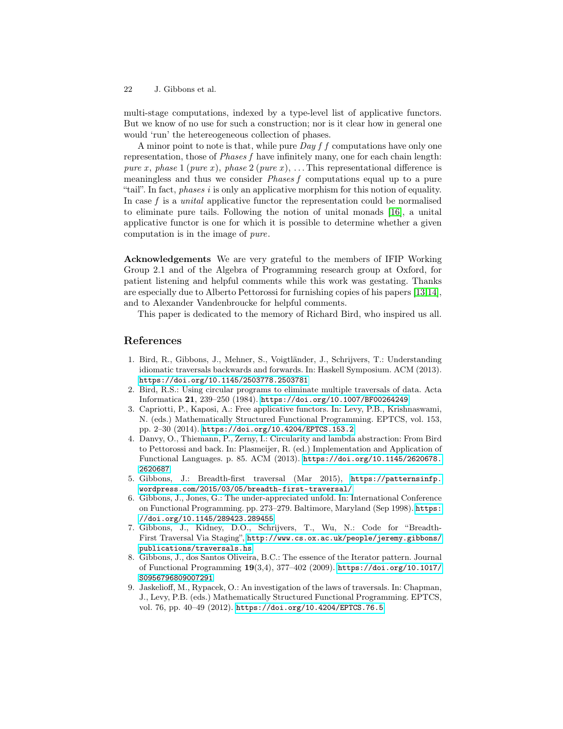multi-stage computations, indexed by a type-level list of applicative functors. But we know of no use for such a construction; nor is it clear how in general one would 'run' the hetereogeneous collection of phases.

A minor point to note is that, while pure  $Day f$  computations have only one representation, those of *Phases f* have infinitely many, one for each chain length: pure x, phase 1 (pure x), phase 2 (pure x), ... This representational difference is meaningless and thus we consider Phases f computations equal up to a pure "tail". In fact, *phases i* is only an applicative morphism for this notion of equality. In case f is a *unital* applicative functor the representation could be normalised to eliminate pure tails. Following the notion of unital monads [\[16\]](#page-22-7), a unital applicative functor is one for which it is possible to determine whether a given computation is in the image of pure.

Acknowledgements We are very grateful to the members of IFIP Working Group 2.1 and of the Algebra of Programming research group at Oxford, for patient listening and helpful comments while this work was gestating. Thanks are especially due to Alberto Pettorossi for furnishing copies of his papers [\[13,](#page-22-4)[14\]](#page-22-5), and to Alexander Vandenbroucke for helpful comments.

This paper is dedicated to the memory of Richard Bird, who inspired us all.

### References

- <span id="page-21-4"></span>1. Bird, R., Gibbons, J., Mehner, S., Voigtländer, J., Schrijvers, T.: Understanding idiomatic traversals backwards and forwards. In: Haskell Symposium. ACM (2013). <https://doi.org/10.1145/2503778.2503781>
- <span id="page-21-1"></span>2. Bird, R.S.: Using circular programs to eliminate multiple traversals of data. Acta Informatica 21, 239–250 (1984). <https://doi.org/10.1007/BF00264249>
- <span id="page-21-8"></span>3. Capriotti, P., Kaposi, A.: Free applicative functors. In: Levy, P.B., Krishnaswami, N. (eds.) Mathematically Structured Functional Programming. EPTCS, vol. 153, pp. 2–30 (2014). <https://doi.org/10.4204/EPTCS.153.2>
- <span id="page-21-7"></span>4. Danvy, O., Thiemann, P., Zerny, I.: Circularity and lambda abstraction: From Bird to Pettorossi and back. In: Plasmeijer, R. (ed.) Implementation and Application of Functional Languages. p. 85. ACM (2013). [https://doi.org/10.1145/2620678.](https://doi.org/10.1145/2620678.2620687) [2620687](https://doi.org/10.1145/2620678.2620687)
- <span id="page-21-5"></span>5. Gibbons, J.: Breadth-first traversal (Mar 2015), [https://patternsinfp.](https://patternsinfp.wordpress.com/2015/03/05/breadth-first-traversal/) [wordpress.com/2015/03/05/breadth-first-traversal/](https://patternsinfp.wordpress.com/2015/03/05/breadth-first-traversal/)
- <span id="page-21-6"></span>6. Gibbons, J., Jones, G.: The under-appreciated unfold. In: International Conference on Functional Programming. pp. 273–279. Baltimore, Maryland (Sep 1998). [https:](https://doi.org/10.1145/289423.289455) [//doi.org/10.1145/289423.289455](https://doi.org/10.1145/289423.289455)
- <span id="page-21-2"></span>7. Gibbons, J., Kidney, D.O., Schrijvers, T., Wu, N.: Code for "Breadth-First Traversal Via Staging", [http://www.cs.ox.ac.uk/people/jeremy.gibbons/](http://www.cs.ox.ac.uk/people/jeremy.gibbons/publications/traversals.hs) [publications/traversals.hs](http://www.cs.ox.ac.uk/people/jeremy.gibbons/publications/traversals.hs)
- <span id="page-21-0"></span>8. Gibbons, J., dos Santos Oliveira, B.C.: The essence of the Iterator pattern. Journal of Functional Programming 19(3,4), 377–402 (2009). [https://doi.org/10.1017/](https://doi.org/10.1017/S0956796809007291) [S0956796809007291](https://doi.org/10.1017/S0956796809007291)
- <span id="page-21-3"></span>9. Jaskelioff, M., Rypacek, O.: An investigation of the laws of traversals. In: Chapman, J., Levy, P.B. (eds.) Mathematically Structured Functional Programming. EPTCS, vol. 76, pp. 40–49 (2012). <https://doi.org/10.4204/EPTCS.76.5>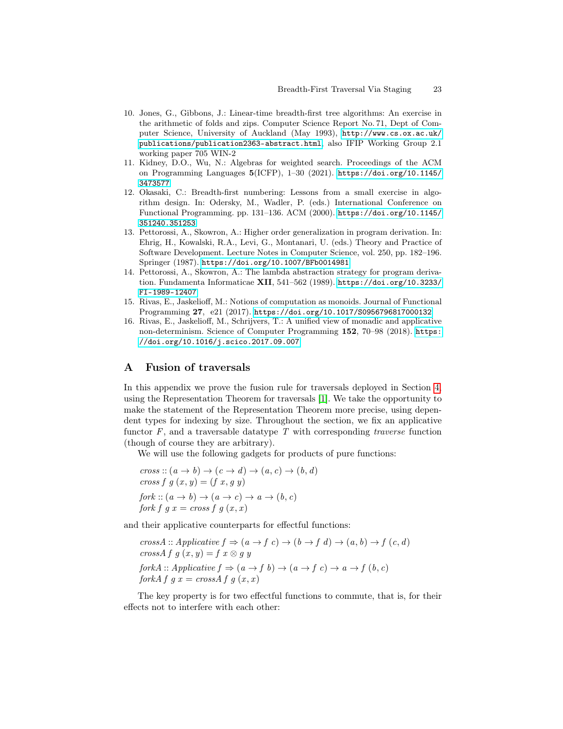- <span id="page-22-1"></span>10. Jones, G., Gibbons, J.: Linear-time breadth-first tree algorithms: An exercise in the arithmetic of folds and zips. Computer Science Report No. 71, Dept of Computer Science, University of Auckland (May 1993), [http://www.cs.ox.ac.uk/](http://www.cs.ox.ac.uk/publications/publication2363-abstract.html) [publications/publication2363-abstract.html](http://www.cs.ox.ac.uk/publications/publication2363-abstract.html), also IFIP Working Group 2.1 working paper 705 WIN-2
- <span id="page-22-0"></span>11. Kidney, D.O., Wu, N.: Algebras for weighted search. Proceedings of the ACM on Programming Languages 5(ICFP), 1–30 (2021). [https://doi.org/10.1145/](https://doi.org/10.1145/3473577) [3473577](https://doi.org/10.1145/3473577)
- <span id="page-22-3"></span>12. Okasaki, C.: Breadth-first numbering: Lessons from a small exercise in algorithm design. In: Odersky, M., Wadler, P. (eds.) International Conference on Functional Programming. pp. 131–136. ACM (2000). [https://doi.org/10.1145/](https://doi.org/10.1145/351240.351253) [351240.351253](https://doi.org/10.1145/351240.351253)
- <span id="page-22-4"></span>13. Pettorossi, A., Skowron, A.: Higher order generalization in program derivation. In: Ehrig, H., Kowalski, R.A., Levi, G., Montanari, U. (eds.) Theory and Practice of Software Development. Lecture Notes in Computer Science, vol. 250, pp. 182–196. Springer (1987). <https://doi.org/10.1007/BFb0014981>
- <span id="page-22-5"></span>14. Pettorossi, A., Skowron, A.: The lambda abstraction strategy for program derivation. Fundamenta Informaticae XII, 541–562 (1989). [https://doi.org/10.3233/](https://doi.org/10.3233/FI-1989-12407) [FI-1989-12407](https://doi.org/10.3233/FI-1989-12407)
- <span id="page-22-6"></span>15. Rivas, E., Jaskelioff, M.: Notions of computation as monoids. Journal of Functional Programming 27, e21 (2017). <https://doi.org/10.1017/S0956796817000132>
- <span id="page-22-7"></span>16. Rivas, E., Jaskelioff, M., Schrijvers, T.: A unified view of monadic and applicative non-determinism. Science of Computer Programming 152, 70–98 (2018). [https:](https://doi.org/10.1016/j.scico.2017.09.007) [//doi.org/10.1016/j.scico.2017.09.007](https://doi.org/10.1016/j.scico.2017.09.007)

## <span id="page-22-2"></span>A Fusion of traversals

In this appendix we prove the fusion rule for traversals deployed in Section [4,](#page-8-0) using the Representation Theorem for traversals [\[1\]](#page-21-4). We take the opportunity to make the statement of the Representation Theorem more precise, using dependent types for indexing by size. Throughout the section, we fix an applicative functor  $F$ , and a traversable datatype  $T$  with corresponding traverse function (though of course they are arbitrary).

We will use the following gadgets for products of pure functions:

 $cross :: (a \rightarrow b) \rightarrow (c \rightarrow d) \rightarrow (a, c) \rightarrow (b, d)$ cross f  $g(x, y) = (f(x, g(y)))$  $fork :: (a \rightarrow b) \rightarrow (a \rightarrow c) \rightarrow a \rightarrow (b, c)$ fork f q  $x = cross f g(x, x)$ 

and their applicative counterparts for effectful functions:

crossA :: Applicative  $f \Rightarrow (a \rightarrow f \ c) \rightarrow (b \rightarrow f \ d) \rightarrow (a, b) \rightarrow f (c, d)$ crossA f g  $(x, y) = f x \otimes g y$ forkA :: Applicative  $f \Rightarrow (a \rightarrow f b) \rightarrow (a \rightarrow f c) \rightarrow a \rightarrow f (b, c)$ forkA f  $q x = crossA f q (x, x)$ 

The key property is for two effectful functions to commute, that is, for their effects not to interfere with each other: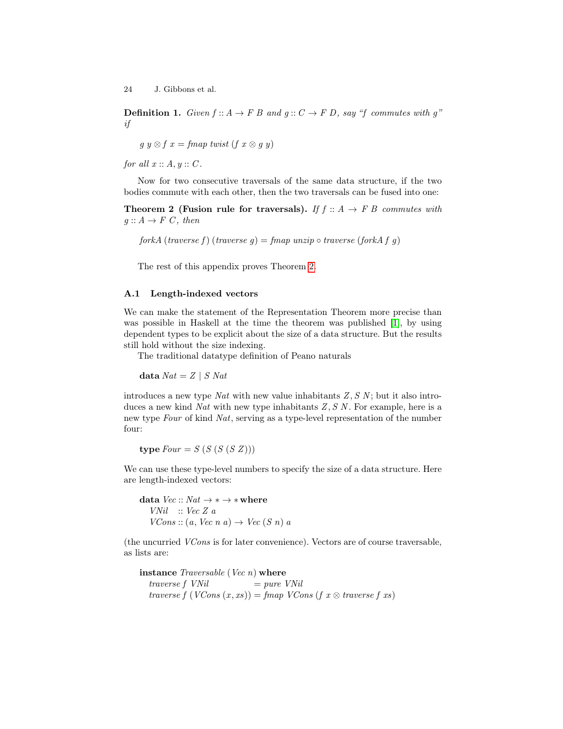**Definition 1.** Given  $f: A \to F B$  and  $g: C \to F D$ , say "f commutes with g" if

<span id="page-23-0"></span> $g \ y \otimes f \ x = \text{fmap twist} (f \ x \otimes g \ y)$ 

for all  $x :: A, y :: C$ .

Now for two consecutive traversals of the same data structure, if the two bodies commute with each other, then the two traversals can be fused into one:

**Theorem 2 (Fusion rule for traversals).** If  $f : A \rightarrow F B$  commutes with  $g: A \to F \; C$ , then

forkA (traverse f) (traverse  $q$ ) = fmap unzip  $\circ$  traverse (forkA f g)

The rest of this appendix proves Theorem [2.](#page-23-0)

#### A.1 Length-indexed vectors

We can make the statement of the Representation Theorem more precise than was possible in Haskell at the time the theorem was published [\[1\]](#page-21-4), by using dependent types to be explicit about the size of a data structure. But the results still hold without the size indexing.

The traditional datatype definition of Peano naturals

data  $Nat = Z \mid S \ Nat$ 

introduces a new type Nat with new value inhabitants  $Z, S, N$ ; but it also introduces a new kind Nat with new type inhabitants  $Z, S, N$ . For example, here is a new type Four of kind Nat, serving as a type-level representation of the number four:

type  $Four = S(S(S(S Z)))$ 

We can use these type-level numbers to specify the size of a data structure. Here are length-indexed vectors:

data  $Vec:: Nat \rightarrow * \rightarrow * where$  $VNil \ :: \ Vec \ Z \ a$  $VCons :: (a, Vec n a) \rightarrow Vec (S n) a$ 

(the uncurried VCons is for later convenience). Vectors are of course traversable, as lists are:

instance  $Traversable$  (Vec n) where  $traverse f$   $VNil$   $= pure$   $VNil$ traverse f (VCons  $(x, xs)$ ) = fmap VCons (f  $x \otimes$  traverse f xs)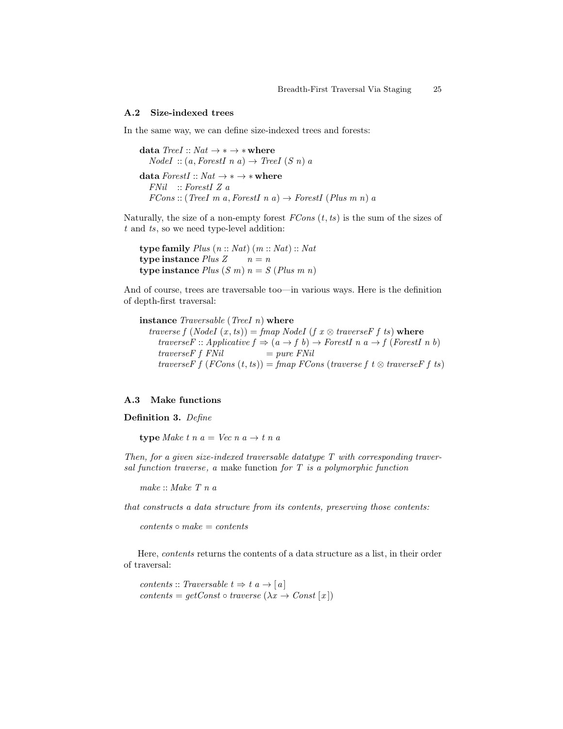### A.2 Size-indexed trees

In the same way, we can define size-indexed trees and forests:

data  $TreeI :: Nat \rightarrow * \rightarrow * \text{where}$  $NodeI :: (a, ForestI \ n \ a) \rightarrow TreeI \ (S \ n) \ a$ data  $ForestI :: Nat \rightarrow * \rightarrow * where$ FNil :: ForestI Z a  $FCons :: (TreeI \ m \ a, ForestI \ n \ a) \rightarrow ForestI (Plus \ m \ n) \ a$ 

Naturally, the size of a non-empty forest  $FCons(t, ts)$  is the sum of the sizes of t and ts, so we need type-level addition:

type family  $Plus (n :: Nat) (m :: Nat) :: Nat)$ type instance Plus  $Z \qquad n = n$ type instance  $Plus(S m) n = S(Plus m n)$ 

And of course, trees are traversable too—in various ways. Here is the definition of depth-first traversal:

instance  $Traversable$  (TreeI n) where traverse f (NodeI  $(x, ts)$ ) = fmap NodeI (f  $x \otimes$  traverseF f ts) where traverseF :: Applicative  $f \Rightarrow (a \rightarrow f b) \rightarrow ForestI$  n  $a \rightarrow f (ForestI$  n b) traverseF f FNil  $= pure\ FNil$ traverseF f  $(FCons(t, ts)) = fmap FCons$  (traverse f t  $\otimes$  traverseF f ts)

### A.3 Make functions

Definition 3. Define

type Make t n  $a = Vec n a \rightarrow t n a$ 

Then, for a given size-indexed traversable datatype T with corresponding traversal function traverse, a make function for  $T$  is a polymorphic function

make :: Make T n a

that constructs a data structure from its contents, preserving those contents:

 $contents \circ make = contents$ 

Here, contents returns the contents of a data structure as a list, in their order of traversal:

contents :: Traversable  $t \Rightarrow t \ a \rightarrow [a]$ contents = getConst  $\circ$  traverse  $(\lambda x \rightarrow Const [x])$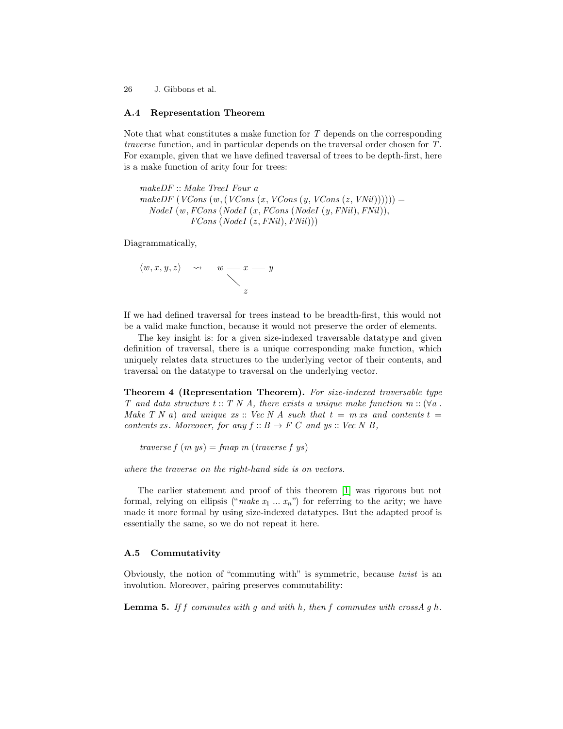#### A.4 Representation Theorem

Note that what constitutes a make function for  $T$  depends on the corresponding traverse function, and in particular depends on the traversal order chosen for T. For example, given that we have defined traversal of trees to be depth-first, here is a make function of arity four for trees:

makeDF :: Make TreeI Four a  $makeDF (VCons (w, (VCons (x, VCons (y, VCons (z, VNil))))))$  $NodeI(w, FCons (NodeI(x, FCons (NodeI(y, FNil), FNil)),$  $FCons (NodeI (z, FNil), FNil))$ 

Diagrammatically,

$$
\langle w, x, y, z \rangle \quad \leadsto \quad w \longrightarrow x \longrightarrow y
$$

If we had defined traversal for trees instead to be breadth-first, this would not be a valid make function, because it would not preserve the order of elements.

The key insight is: for a given size-indexed traversable datatype and given definition of traversal, there is a unique corresponding make function, which uniquely relates data structures to the underlying vector of their contents, and traversal on the datatype to traversal on the underlying vector.

<span id="page-25-0"></span>Theorem 4 (Representation Theorem). For size-indexed traversable type T and data structure  $t :: T N A$ , there exists a unique make function  $m :: (\forall a$ . Make T N a) and unique  $xs::$  Vec N A such that  $t = m xs$  and contents  $t =$ contents xs. Moreover, for any  $f :: B \rightarrow F C$  and  $ys :: Vec N B$ ,

traverse f  $(m \text{ vs}) = \text{fmap } m \text{ (traverse } f \text{ vs)}$ 

where the traverse on the right-hand side is on vectors.

The earlier statement and proof of this theorem [\[1\]](#page-21-4) was rigorous but not formal, relying on ellipsis ("make  $x_1 \ldots x_n$ ") for referring to the arity; we have made it more formal by using size-indexed datatypes. But the adapted proof is essentially the same, so we do not repeat it here.

#### A.5 Commutativity

Obviously, the notion of "commuting with" is symmetric, because twist is an involution. Moreover, pairing preserves commutability:

**Lemma 5.** If f commutes with g and with h, then f commutes with crossA g h.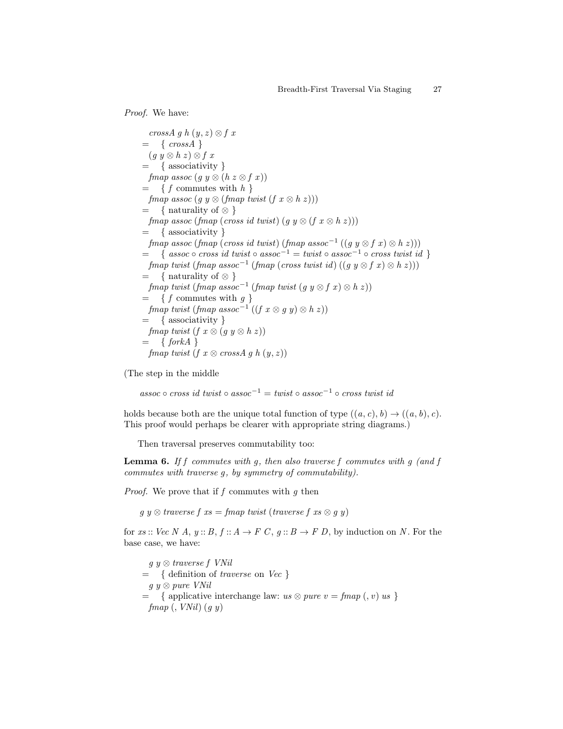Proof. We have:

crossA q h  $(y, z) \otimes f x$  $= \{ crossA \}$  $(g y \otimes h z) \otimes f x$ = { associativity } fmap assoc (g y  $\otimes$  (h z  $\otimes$  f x))  $= \{ f$  commutes with  $h \}$ fmap assoc (g y  $\otimes$  (fmap twist (f x  $\otimes$  h z))) = { naturality of ⊗ } fmap assoc (fmap (cross id twist) (g y  $\otimes$  (f  $x \otimes h z$ )))  $= \{$  associativity  $\}$ fmap assoc (fmap (cross id twist) (fmap assoc<sup>-1</sup> ((g y  $\otimes$  f x)  $\otimes$  h z)))  $= \{$  assoc  $\circ$  cross id twist  $\circ$  assoc<sup>-1</sup> = twist  $\circ$  assoc<sup>-1</sup>  $\circ$  cross twist id } fmap twist (fmap assoc<sup>-1</sup> (fmap (cross twist id) ((g y  $\otimes f$  x)  $\otimes$  h z)))  $= \{$  naturality of  $\otimes \}$ fmap twist (fmap assoc<sup>-1</sup> (fmap twist  $(g y \otimes f x) \otimes h z)$ )  $= \{ f$  commutes with  $g \}$ fmap twist (fmap assoc<sup>-1</sup> ((f x ⊗ g y) ⊗ h z))  $= \{$  associativity  $\}$ fmap twist  $(f x \otimes (g y \otimes h z))$  $= \{forkA \}$ fmap twist (f  $x \otimes crossA$  g h  $(y, z)$ )

(The step in the middle

assoc ∘ cross id twist ∘ assoc<sup>-1</sup> = twist ∘ assoc<sup>-1</sup> ∘ cross twist id

holds because both are the unique total function of type  $((a, c), b) \rightarrow ((a, b), c)$ . This proof would perhaps be clearer with appropriate string diagrams.)

Then traversal preserves commutability too:

**Lemma 6.** If f commutes with q, then also traverse f commutes with q (and f commutes with traverse g, by symmetry of commutability).

*Proof.* We prove that if f commutes with  $q$  then

 $g \ y \otimes \text{traverse } f \ \text{xs} = \text{fmap twist (traverse } f \ \text{xs} \otimes g \ \text{y})$ 

for  $xs::Vec N A, y::B, f::A \rightarrow F C, g::B \rightarrow F D$ , by induction on N. For the base case, we have:

 $g \, y \otimes \text{traverse } f \, \text{VNil}$ = { definition of traverse on Vec }  $g \, y \otimes pure$  VNil  $= \{$  applicative interchange law: us  $\otimes$  pure  $v = \text{fmap}(v, v)$  us  $\}$  $fmap($ , VNil $)$  $(g y)$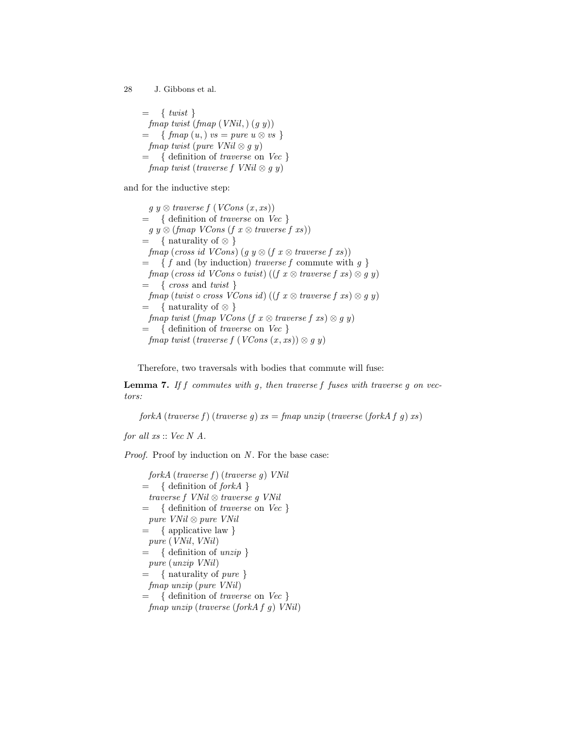$=$  { twist }  $fmap twist(fmap(VNil,)(gy))$  $= \{ \text{fmap}(u, v) = pure \ u \otimes vs \ \}$ fmap twist (pure VNil  $\otimes$  g y) = { definition of traverse on Vec } fmap twist (traverse f VNil  $\otimes$  g y)

and for the inductive step:

 $g \ y \otimes \text{traverse } f \ (VCons \ (x, xs))$ = { definition of traverse on Vec }  $g \ y \otimes (fmap VCons (f x \otimes traverse f xs))$ = { naturality of ⊗ } fmap (cross id VCons) (g y  $\otimes$  (f x  $\otimes$  traverse f xs))  $= \{ f \text{ and (by induction)} traverse f \text{ commute with } g \}$ fmap (cross id VCons  $\circ$  twist) ((f x  $\otimes$  traverse f xs)  $\otimes$  g y)  $= \{ \text{ cross and twist } \}$ fmap (twist  $\circ$  cross VCons id) ((f x  $\otimes$  traverse f xs)  $\otimes$  q y)  $= \{$  naturality of  $\otimes \}$ fmap twist (fmap  $VCons$  (f  $x \otimes traverse f$   $xs) \otimes g$   $y)$ = { definition of traverse on Vec } fmap twist (traverse f (VCons  $(x, xs)$ ) ⊗ g y)

<span id="page-27-0"></span>Therefore, two traversals with bodies that commute will fuse:

**Lemma 7.** If f commutes with g, then traverse f fuses with traverse g on vectors:

forkA (traverse f) (traverse g)  $xs = \text{fmap}$  unzip (traverse (forkA f g) xs)

for all  $xs :: Vec N A$ .

*Proof.* Proof by induction on  $N$ . For the base case:

 $forkA (traverse f) (traverse g)$  VNil  $= \{$  definition of  $forkA \}$ traverse f VNil ⊗ traverse g VNil  $= \{$  definition of *traverse* on  $Vec$ } pure VNil ⊗ pure VNil = { applicative law } pure (VNil, VNil)  $= \{$  definition of unzip  $\}$ pure (unzip VNil)  $= \{$  naturality of pure  $\}$ fmap unzip (pure VNil) = { definition of traverse on Vec } fmap unzip (traverse (forkA f g) VNil)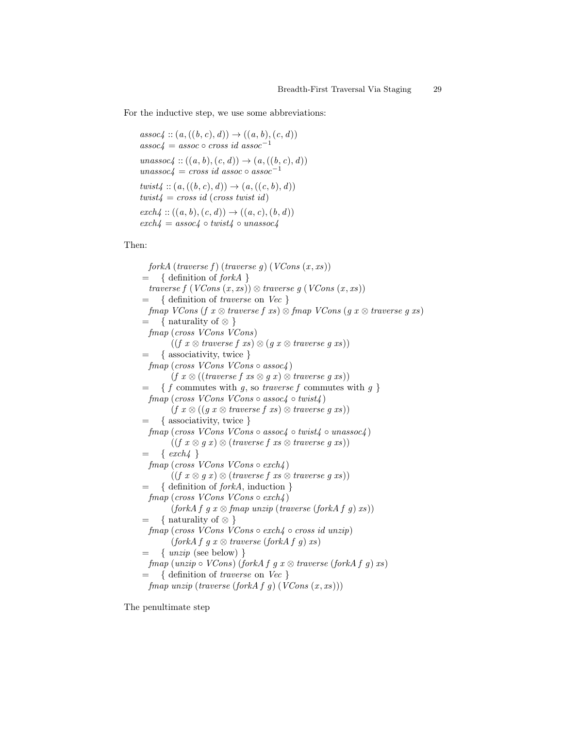For the inductive step, we use some abbreviations:

```
assoc4 :: (a, ((b, c), d)) \rightarrow ((a, b), (c, d))assoc4 = assoc \circ cross \, id \, assoc^{-1}unassoc4::((a, b), (c, d)) \rightarrow (a, ((b, c), d))unassoc4 = \text{cross} id assoc ∘ assoc<sup>-1</sup>
twist4 :: (a, ((b, c), d)) \rightarrow (a, ((c, b), d))twist4 = cross id (cross twist id)
exch(4: ((a, b), (c, d)) \rightarrow ((a, c), (b, d))exch\omega = assoc\omega \circ twist\omega \circ unassoc\omega
```
Then:

forkA (traverse f) (traverse  $g$ ) (VCons  $(x, xs)$ )  $= \{$  definition of *forkA*  $\}$ traverse  $f (VCons (x, xs)) \otimes traverse g (VCons (x, xs))$ = { definition of traverse on Vec } fmap VCons (f  $x \otimes$  traverse f  $xs$ )  $\otimes$  fmap VCons (g  $x \otimes$  traverse g  $xs$ )  $= \{$  naturality of  $\otimes \}$ fmap (cross VCons VCons)  $((f x \otimes \text{traverse } f x s) \otimes (g x \otimes \text{traverse } g x s))$ = { associativity, twice }  $fmap (cross VCons VCons \circ assoc4)$  $(f x \otimes ((traverse f xs \otimes g x) \otimes traverse g xs))$  $= \{ f$  commutes with g, so *traverse f* commutes with g  $\}$  $fmap\ (cross\ VCons\ VCons\circ assoc4 \circ twist4)$  $(f x \otimes ((g x \otimes \text{traverse } f x s) \otimes \text{traverse } g x s))$ { associativity, twice }  $fmap$  (cross VCons VCons  $\circ$  assoc $4 \circ twist4 \circ unassoc4$ )  $((f x \otimes g x) \otimes (traverse f xs \otimes traverse g xs))$  $= \{ \operatorname{exch}\nolimits_4 \}$  $fmap$  (cross VCons VCons  $\circ$  exch $\downarrow$ )  $((f x \otimes g x) \otimes (traverse f xs \otimes traverse g xs))$  $= \{$  definition of *forkA*, induction  $\}$  $fmap (cross VCons VCons \circ exch4)$  $(forkA f g x \otimes fmap unzip (traverse (forkA f g) xs))$  $\{$  naturality of  $\otimes \}$  $fmap$  (cross VCons VCons  $\circ$  exch $\downarrow$   $\circ$  cross id unzip)  $(forkA f g x \otimes traverse (forkA f g) xs)$  $= \{ \text{unzip (see below)} \}$ fmap (unzip  $\circ$  VCons) (forkA f g x  $\otimes$  traverse (forkA f g) xs) = { definition of traverse on Vec }  $fmap\;unzip\;(traverse\; (forkAf\;g)\; (VCons\; (x, xs)))$ 

The penultimate step